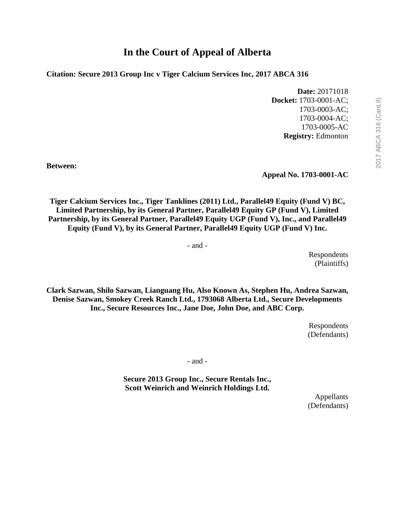**Citation: Secure 2013 Group Inc v Tiger Calcium Services Inc, 2017 ABCA 316**

**Date:** 20171018 **Docket:** 1703-0001-AC; 1703-0003-AC; 1703-0004-AC; 1703-0005-AC **Registry:** Edmonton

**Between:**

**Appeal No. 1703-0001-AC**

**Tiger Calcium Services Inc., Tiger Tanklines (2011) Ltd., Parallel49 Equity (Fund V) BC, Limited Partnership, by its General Partner, Parallel49 Equity GP (Fund V), Limited Partnership, by its General Partner, Parallel49 Equity UGP (Fund V), Inc., and Parallel49 Equity (Fund V), by its General Partner, Parallel49 Equity UGP (Fund V) Inc.** 

- and -

Respondents (Plaintiffs)

**Clark Sazwan, Shilo Sazwan, Lianguang Hu, Also Known As, Stephen Hu, Andrea Sazwan, Denise Sazwan, Smokey Creek Ranch Ltd., 1793068 Alberta Ltd., Secure Developments Inc., Secure Resources Inc., Jane Doe, John Doe, and ABC Corp.**

> Respondents (Defendants)

- and -

**Secure 2013 Group Inc., Secure Rentals Inc., Scott Weinrich and Weinrich Holdings Ltd.**

> Appellants (Defendants)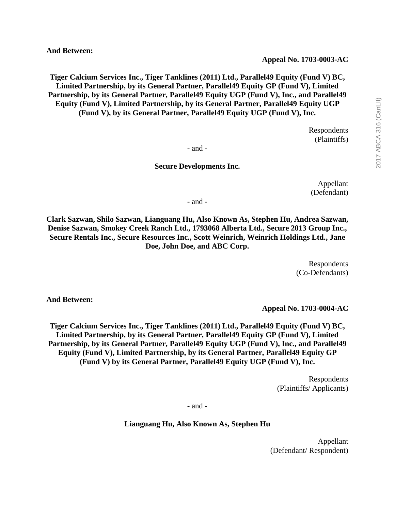**And Between:** 

**Tiger Calcium Services Inc., Tiger Tanklines (2011) Ltd., Parallel49 Equity (Fund V) BC, Limited Partnership, by its General Partner, Parallel49 Equity GP (Fund V), Limited Partnership, by its General Partner, Parallel49 Equity UGP (Fund V), Inc., and Parallel49 Equity (Fund V), Limited Partnership, by its General Partner, Parallel49 Equity UGP (Fund V), by its General Partner, Parallel49 Equity UGP (Fund V), Inc.**

> Respondents (Plaintiffs)

- and -

## **Secure Developments Inc.**

Appellant (Defendant)

- and -

**Clark Sazwan, Shilo Sazwan, Lianguang Hu, Also Known As, Stephen Hu, Andrea Sazwan, Denise Sazwan, Smokey Creek Ranch Ltd., 1793068 Alberta Ltd., Secure 2013 Group Inc., Secure Rentals Inc., Secure Resources Inc., Scott Weinrich, Weinrich Holdings Ltd., Jane Doe, John Doe, and ABC Corp.**

> Respondents (Co-Defendants)

**And Between:** 

**Appeal No. 1703-0004-AC**

**Tiger Calcium Services Inc., Tiger Tanklines (2011) Ltd., Parallel49 Equity (Fund V) BC, Limited Partnership, by its General Partner, Parallel49 Equity GP (Fund V), Limited Partnership, by its General Partner, Parallel49 Equity UGP (Fund V), Inc., and Parallel49 Equity (Fund V), Limited Partnership, by its General Partner, Parallel49 Equity GP (Fund V) by its General Partner, Parallel49 Equity UGP (Fund V), Inc.** 

> Respondents (Plaintiffs/ Applicants)

- and -

**Lianguang Hu, Also Known As, Stephen Hu**

Appellant (Defendant/ Respondent)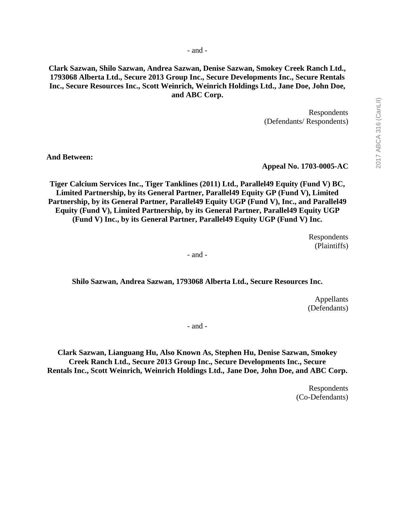**Clark Sazwan, Shilo Sazwan, Andrea Sazwan, Denise Sazwan, Smokey Creek Ranch Ltd., 1793068 Alberta Ltd., Secure 2013 Group Inc., Secure Developments Inc., Secure Rentals Inc., Secure Resources Inc., Scott Weinrich, Weinrich Holdings Ltd., Jane Doe, John Doe, and ABC Corp.**

> Respondents (Defendants/ Respondents)

**And Between:** 

**Appeal No. 1703-0005-AC**

**Tiger Calcium Services Inc., Tiger Tanklines (2011) Ltd., Parallel49 Equity (Fund V) BC, Limited Partnership, by its General Partner, Parallel49 Equity GP (Fund V), Limited Partnership, by its General Partner, Parallel49 Equity UGP (Fund V), Inc., and Parallel49 Equity (Fund V), Limited Partnership, by its General Partner, Parallel49 Equity UGP (Fund V) Inc., by its General Partner, Parallel49 Equity UGP (Fund V) Inc.**

> Respondents (Plaintiffs)

- and -

**Shilo Sazwan, Andrea Sazwan, 1793068 Alberta Ltd., Secure Resources Inc.** 

Appellants (Defendants)

- and -

**Clark Sazwan, Lianguang Hu, Also Known As, Stephen Hu, Denise Sazwan, Smokey Creek Ranch Ltd., Secure 2013 Group Inc., Secure Developments Inc., Secure Rentals Inc., Scott Weinrich, Weinrich Holdings Ltd., Jane Doe, John Doe, and ABC Corp.**

> Respondents (Co-Defendants)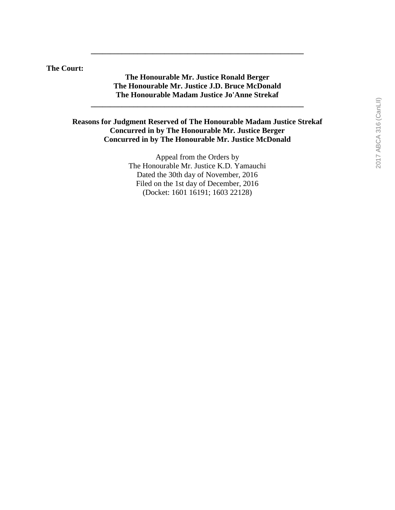**The Court:**

## **The Honourable Mr. Justice Ronald Berger The Honourable Mr. Justice J.D. Bruce McDonald The Honourable Madam Justice Jo'Anne Strekaf**

**\_\_\_\_\_\_\_\_\_\_\_\_\_\_\_\_\_\_\_\_\_\_\_\_\_\_\_\_\_\_\_\_\_\_\_\_\_\_\_\_\_\_\_\_\_\_\_\_\_\_\_\_\_\_\_**

**\_\_\_\_\_\_\_\_\_\_\_\_\_\_\_\_\_\_\_\_\_\_\_\_\_\_\_\_\_\_\_\_\_\_\_\_\_\_\_\_\_\_\_\_\_\_\_\_\_\_\_\_\_\_\_**

## **Reasons for Judgment Reserved of The Honourable Madam Justice Strekaf Concurred in by The Honourable Mr. Justice Berger Concurred in by The Honourable Mr. Justice McDonald**

Appeal from the Orders by The Honourable Mr. Justice K.D. Yamauchi Dated the 30th day of November, 2016 Filed on the 1st day of December, 2016 (Docket: 1601 16191; 1603 22128)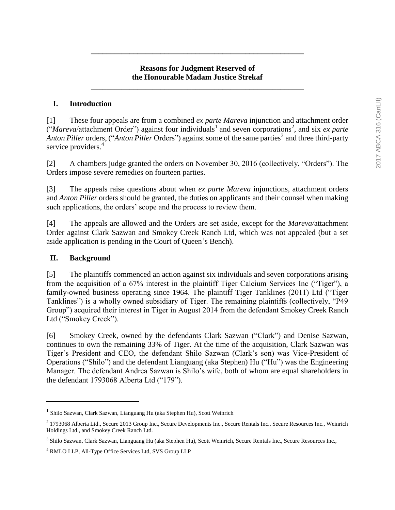## **Reasons for Judgment Reserved of the Honourable Madam Justice Strekaf**

**\_\_\_\_\_\_\_\_\_\_\_\_\_\_\_\_\_\_\_\_\_\_\_\_\_\_\_\_\_\_\_\_\_\_\_\_\_\_\_\_\_\_\_\_\_\_\_\_\_\_\_\_\_\_\_**

**\_\_\_\_\_\_\_\_\_\_\_\_\_\_\_\_\_\_\_\_\_\_\_\_\_\_\_\_\_\_\_\_\_\_\_\_\_\_\_\_\_\_\_\_\_\_\_\_\_\_\_\_\_\_\_**

## **I. Introduction**

[1] These four appeals are from a combined *ex parte Mareva* injunction and attachment order  $\ddot{C}$ *Mareva/attachment Order*") against four individuals<sup>1</sup> and seven corporations<sup>2</sup>, and six *ex parte* Anton Piller orders, ("Anton Piller Orders") against some of the same parties<sup>3</sup> and three third-party service providers.<sup>4</sup>

[2] A chambers judge granted the orders on November 30, 2016 (collectively, "Orders"). The Orders impose severe remedies on fourteen parties.

[3] The appeals raise questions about when *ex parte Mareva* injunctions, attachment orders and *Anton Piller* orders should be granted, the duties on applicants and their counsel when making such applications, the orders' scope and the process to review them.

[4] The appeals are allowed and the Orders are set aside, except for the *Mareva/*attachment Order against Clark Sazwan and Smokey Creek Ranch Ltd, which was not appealed (but a set aside application is pending in the Court of Queen's Bench).

### **II. Background**

 $\overline{a}$ 

[5] The plaintiffs commenced an action against six individuals and seven corporations arising from the acquisition of a 67% interest in the plaintiff Tiger Calcium Services Inc ("Tiger"), a family-owned business operating since 1964. The plaintiff Tiger Tanklines (2011) Ltd ("Tiger Tanklines") is a wholly owned subsidiary of Tiger. The remaining plaintiffs (collectively, "P49 Group") acquired their interest in Tiger in August 2014 from the defendant Smokey Creek Ranch Ltd ("Smokey Creek").

[6] Smokey Creek, owned by the defendants Clark Sazwan ("Clark") and Denise Sazwan, continues to own the remaining 33% of Tiger. At the time of the acquisition, Clark Sazwan was Tiger's President and CEO, the defendant Shilo Sazwan (Clark's son) was Vice-President of Operations ("Shilo") and the defendant Lianguang (aka Stephen) Hu ("Hu") was the Engineering Manager. The defendant Andrea Sazwan is Shilo's wife, both of whom are equal shareholders in the defendant 1793068 Alberta Ltd ("179").

<sup>&</sup>lt;sup>1</sup> Shilo Sazwan, Clark Sazwan, Lianguang Hu (aka Stephen Hu), Scott Weinrich

<sup>2</sup> 1793068 Alberta Ltd., Secure 2013 Group Inc., Secure Developments Inc., Secure Rentals Inc., Secure Resources Inc., Weinrich Holdings Ltd., and Smokey Creek Ranch Ltd.

<sup>3</sup> Shilo Sazwan, Clark Sazwan, Lianguang Hu (aka Stephen Hu), Scott Weinrich, Secure Rentals Inc., Secure Resources Inc.,

<sup>4</sup> RMLO LLP, All-Type Office Services Ltd, SVS Group LLP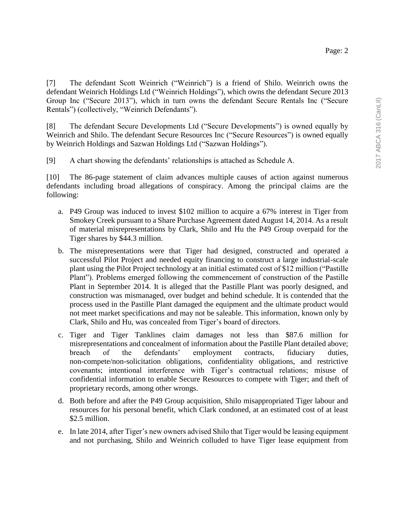[7] The defendant Scott Weinrich ("Weinrich") is a friend of Shilo. Weinrich owns the defendant Weinrich Holdings Ltd ("Weinrich Holdings"), which owns the defendant Secure 2013 Group Inc ("Secure 2013"), which in turn owns the defendant Secure Rentals Inc ("Secure Rentals") (collectively, "Weinrich Defendants").

[8] The defendant Secure Developments Ltd ("Secure Developments") is owned equally by Weinrich and Shilo. The defendant Secure Resources Inc ("Secure Resources") is owned equally by Weinrich Holdings and Sazwan Holdings Ltd ("Sazwan Holdings").

[9] A chart showing the defendants' relationships is attached as Schedule A.

[10] The 86-page statement of claim advances multiple causes of action against numerous defendants including broad allegations of conspiracy. Among the principal claims are the following:

- a. P49 Group was induced to invest \$102 million to acquire a 67% interest in Tiger from Smokey Creek pursuant to a Share Purchase Agreement dated August 14, 2014. As a result of material misrepresentations by Clark, Shilo and Hu the P49 Group overpaid for the Tiger shares by \$44.3 million.
- b. The misrepresentations were that Tiger had designed, constructed and operated a successful Pilot Project and needed equity financing to construct a large industrial-scale plant using the Pilot Project technology at an initial estimated cost of \$12 million ("Pastille Plant"). Problems emerged following the commencement of construction of the Pastille Plant in September 2014. It is alleged that the Pastille Plant was poorly designed, and construction was mismanaged, over budget and behind schedule. It is contended that the process used in the Pastille Plant damaged the equipment and the ultimate product would not meet market specifications and may not be saleable. This information, known only by Clark, Shilo and Hu, was concealed from Tiger's board of directors.
- c. Tiger and Tiger Tanklines claim damages not less than \$87.6 million for misrepresentations and concealment of information about the Pastille Plant detailed above; breach of the defendants' employment contracts, fiduciary duties, non-compete/non-solicitation obligations, confidentiality obligations, and restrictive covenants; intentional interference with Tiger's contractual relations; misuse of confidential information to enable Secure Resources to compete with Tiger; and theft of proprietary records, among other wrongs.
- d. Both before and after the P49 Group acquisition, Shilo misappropriated Tiger labour and resources for his personal benefit, which Clark condoned, at an estimated cost of at least \$2.5 million.
- e. In late 2014, after Tiger's new owners advised Shilo that Tiger would be leasing equipment and not purchasing, Shilo and Weinrich colluded to have Tiger lease equipment from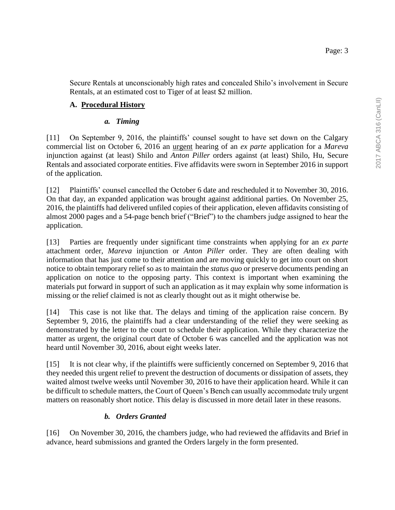Secure Rentals at unconscionably high rates and concealed Shilo's involvement in Secure Rentals, at an estimated cost to Tiger of at least \$2 million.

## **A. Procedural History**

## *a. Timing*

[11] On September 9, 2016, the plaintiffs' counsel sought to have set down on the Calgary commercial list on October 6, 2016 an urgent hearing of an *ex parte* application for a *Mareva* injunction against (at least) Shilo and *Anton Piller* orders against (at least) Shilo, Hu, Secure Rentals and associated corporate entities. Five affidavits were sworn in September 2016 in support of the application.

[12] Plaintiffs' counsel cancelled the October 6 date and rescheduled it to November 30, 2016. On that day, an expanded application was brought against additional parties. On November 25, 2016, the plaintiffs had delivered unfiled copies of their application, eleven affidavits consisting of almost 2000 pages and a 54-page bench brief ("Brief") to the chambers judge assigned to hear the application.

[13] Parties are frequently under significant time constraints when applying for an *ex parte* attachment order, *Mareva* injunction or *Anton Piller* order. They are often dealing with information that has just come to their attention and are moving quickly to get into court on short notice to obtain temporary relief so as to maintain the *status quo* or preserve documents pending an application on notice to the opposing party. This context is important when examining the materials put forward in support of such an application as it may explain why some information is missing or the relief claimed is not as clearly thought out as it might otherwise be.

[14] This case is not like that. The delays and timing of the application raise concern. By September 9, 2016, the plaintiffs had a clear understanding of the relief they were seeking as demonstrated by the letter to the court to schedule their application. While they characterize the matter as urgent, the original court date of October 6 was cancelled and the application was not heard until November 30, 2016, about eight weeks later.

[15] It is not clear why, if the plaintiffs were sufficiently concerned on September 9, 2016 that they needed this urgent relief to prevent the destruction of documents or dissipation of assets, they waited almost twelve weeks until November 30, 2016 to have their application heard. While it can be difficult to schedule matters, the Court of Queen's Bench can usually accommodate truly urgent matters on reasonably short notice. This delay is discussed in more detail later in these reasons.

### *b. Orders Granted*

[16] On November 30, 2016, the chambers judge, who had reviewed the affidavits and Brief in advance, heard submissions and granted the Orders largely in the form presented.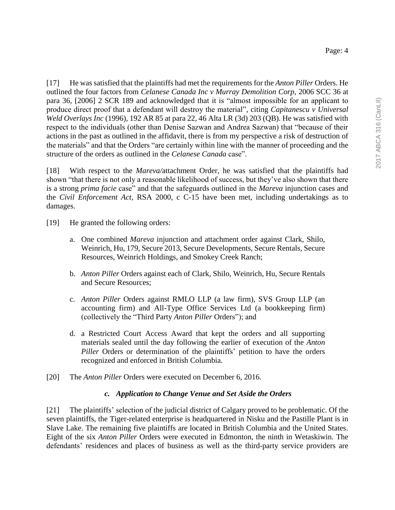[17] He was satisfied that the plaintiffs had met the requirements for the *Anton Piller* Orders. He outlined the four factors from *Celanese Canada Inc v Murray Demolition Corp*, 2006 SCC 36 at para 36, [2006] 2 SCR 189 and acknowledged that it is "almost impossible for an applicant to produce direct proof that a defendant will destroy the material", citing *Capitanescu v Universal Weld Overlays Inc* (1996), 192 AR 85 at para 22, 46 Alta LR (3d) 203 (QB). He was satisfied with respect to the individuals (other than Denise Sazwan and Andrea Sazwan) that "because of their actions in the past as outlined in the affidavit, there is from my perspective a risk of destruction of the materials" and that the Orders "are certainly within line with the manner of proceeding and the structure of the orders as outlined in the *Celanese Canada* case".

[18] With respect to the *Mareva/*attachment Order, he was satisfied that the plaintiffs had shown "that there is not only a reasonable likelihood of success, but they've also shown that there is a strong *prima facie* case" and that the safeguards outlined in the *Mareva* injunction cases and the *Civil Enforcement Act*, RSA 2000, c C-15 have been met, including undertakings as to damages.

- [19] He granted the following orders:
	- a. One combined *Mareva* injunction and attachment order against Clark, Shilo, Weinrich, Hu, 179, Secure 2013, Secure Developments, Secure Rentals, Secure Resources, Weinrich Holdings, and Smokey Creek Ranch;
	- b. *Anton Piller* Orders against each of Clark, Shilo, Weinrich, Hu, Secure Rentals and Secure Resources;
	- c. *Anton Piller* Orders against RMLO LLP (a law firm), SVS Group LLP (an accounting firm) and All-Type Office Services Ltd (a bookkeeping firm) (collectively the "Third Party *Anton Piller* Orders"); and
	- d. a Restricted Court Access Award that kept the orders and all supporting materials sealed until the day following the earlier of execution of the *Anton Piller* Orders or determination of the plaintiffs' petition to have the orders recognized and enforced in British Columbia.
- [20] The *Anton Piller* Orders were executed on December 6, 2016.

### *c. Application to Change Venue and Set Aside the Orders*

[21] The plaintiffs' selection of the judicial district of Calgary proved to be problematic. Of the seven plaintiffs, the Tiger-related enterprise is headquartered in Nisku and the Pastille Plant is in Slave Lake. The remaining five plaintiffs are located in British Columbia and the United States. Eight of the six *Anton Piller* Orders were executed in Edmonton, the ninth in Wetaskiwin. The defendants' residences and places of business as well as the third-party service providers are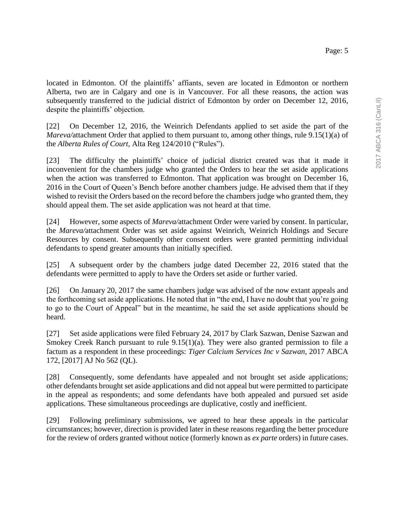located in Edmonton. Of the plaintiffs' affiants, seven are located in Edmonton or northern Alberta, two are in Calgary and one is in Vancouver. For all these reasons, the action was subsequently transferred to the judicial district of Edmonton by order on December 12, 2016, despite the plaintiffs' objection.

[22] On December 12, 2016, the Weinrich Defendants applied to set aside the part of the *Mareva/attachment Order that applied to them pursuant to, among other things, rule 9.15(1)(a) of* the *Alberta Rules of Court*, Alta Reg 124/2010 ("Rules").

[23] The difficulty the plaintiffs' choice of judicial district created was that it made it inconvenient for the chambers judge who granted the Orders to hear the set aside applications when the action was transferred to Edmonton. That application was brought on December 16, 2016 in the Court of Queen's Bench before another chambers judge. He advised them that if they wished to revisit the Orders based on the record before the chambers judge who granted them, they should appeal them. The set aside application was not heard at that time.

[24] However, some aspects of *Mareva/*attachment Order were varied by consent. In particular, the *Mareva/*attachment Order was set aside against Weinrich, Weinrich Holdings and Secure Resources by consent. Subsequently other consent orders were granted permitting individual defendants to spend greater amounts than initially specified.

[25] A subsequent order by the chambers judge dated December 22, 2016 stated that the defendants were permitted to apply to have the Orders set aside or further varied.

[26] On January 20, 2017 the same chambers judge was advised of the now extant appeals and the forthcoming set aside applications. He noted that in "the end, I have no doubt that you're going to go to the Court of Appeal" but in the meantime, he said the set aside applications should be heard.

[27] Set aside applications were filed February 24, 2017 by Clark Sazwan, Denise Sazwan and Smokey Creek Ranch pursuant to rule 9.15(1)(a). They were also granted permission to file a factum as a respondent in these proceedings: *Tiger Calcium Services Inc v Sazwan*, 2017 ABCA 172, [2017] AJ No 562 (QL).

[28] Consequently, some defendants have appealed and not brought set aside applications; other defendants brought set aside applications and did not appeal but were permitted to participate in the appeal as respondents; and some defendants have both appealed and pursued set aside applications. These simultaneous proceedings are duplicative, costly and inefficient.

[29] Following preliminary submissions, we agreed to hear these appeals in the particular circumstances; however, direction is provided later in these reasons regarding the better procedure for the review of orders granted without notice (formerly known as *ex parte* orders) in future cases.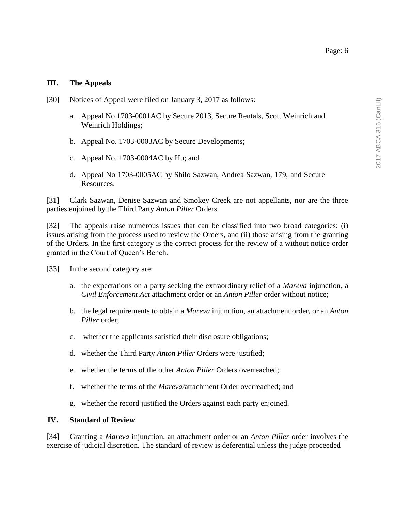# **III. The Appeals**

- [30] Notices of Appeal were filed on January 3, 2017 as follows:
	- a. Appeal No 1703-0001AC by Secure 2013, Secure Rentals, Scott Weinrich and Weinrich Holdings;
	- b. Appeal No. 1703-0003AC by Secure Developments;
	- c. Appeal No. 1703-0004AC by Hu; and
	- d. Appeal No 1703-0005AC by Shilo Sazwan, Andrea Sazwan, 179, and Secure Resources.

[31] Clark Sazwan, Denise Sazwan and Smokey Creek are not appellants, nor are the three parties enjoined by the Third Party *Anton Piller* Orders.

[32] The appeals raise numerous issues that can be classified into two broad categories: (i) issues arising from the process used to review the Orders, and (ii) those arising from the granting of the Orders. In the first category is the correct process for the review of a without notice order granted in the Court of Queen's Bench.

- [33] In the second category are:
	- a. the expectations on a party seeking the extraordinary relief of a *Mareva* injunction, a *Civil Enforcement Act* attachment order or an *Anton Piller* order without notice;
	- b. the legal requirements to obtain a *Mareva* injunction, an attachment order, or an *Anton Piller* order;
	- c. whether the applicants satisfied their disclosure obligations;
	- d. whether the Third Party *Anton Piller* Orders were justified;
	- e. whether the terms of the other *Anton Piller* Orders overreached;
	- f. whether the terms of the *Mareva/*attachment Order overreached; and
	- g. whether the record justified the Orders against each party enjoined.

#### **IV. Standard of Review**

[34] Granting a *Mareva* injunction, an attachment order or an *Anton Piller* order involves the exercise of judicial discretion. The standard of review is deferential unless the judge proceeded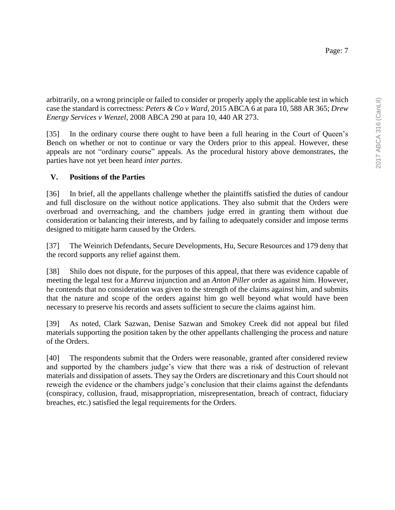arbitrarily, on a wrong principle or failed to consider or properly apply the applicable test in which case the standard is correctness: *Peters & Co v Ward*, 2015 ABCA 6 at para 10, 588 AR 365; *Drew Energy Services v Wenzel*, 2008 ABCA 290 at para 10, 440 AR 273.

[35] In the ordinary course there ought to have been a full hearing in the Court of Queen's Bench on whether or not to continue or vary the Orders prior to this appeal. However, these appeals are not "ordinary course" appeals. As the procedural history above demonstrates, the parties have not yet been heard *inter partes*.

# **V. Positions of the Parties**

[36] In brief, all the appellants challenge whether the plaintiffs satisfied the duties of candour and full disclosure on the without notice applications. They also submit that the Orders were overbroad and overreaching, and the chambers judge erred in granting them without due consideration or balancing their interests, and by failing to adequately consider and impose terms designed to mitigate harm caused by the Orders.

[37] The Weinrich Defendants, Secure Developments, Hu, Secure Resources and 179 deny that the record supports any relief against them.

[38] Shilo does not dispute, for the purposes of this appeal, that there was evidence capable of meeting the legal test for a *Mareva* injunction and an *Anton Piller* order as against him. However, he contends that no consideration was given to the strength of the claims against him, and submits that the nature and scope of the orders against him go well beyond what would have been necessary to preserve his records and assets sufficient to secure the claims against him.

[39] As noted, Clark Sazwan, Denise Sazwan and Smokey Creek did not appeal but filed materials supporting the position taken by the other appellants challenging the process and nature of the Orders.

[40] The respondents submit that the Orders were reasonable, granted after considered review and supported by the chambers judge's view that there was a risk of destruction of relevant materials and dissipation of assets. They say the Orders are discretionary and this Court should not reweigh the evidence or the chambers judge's conclusion that their claims against the defendants (conspiracy, collusion, fraud, misappropriation, misrepresentation, breach of contract, fiduciary breaches, etc.) satisfied the legal requirements for the Orders.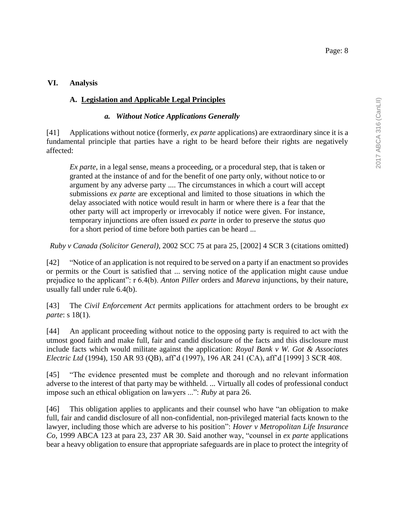## **VI. Analysis**

## **A. Legislation and Applicable Legal Principles**

### *a. Without Notice Applications Generally*

[41] Applications without notice (formerly, *ex parte* applications) are extraordinary since it is a fundamental principle that parties have a right to be heard before their rights are negatively affected:

*Ex parte*, in a legal sense, means a proceeding, or a procedural step, that is taken or granted at the instance of and for the benefit of one party only, without notice to or argument by any adverse party .... The circumstances in which a court will accept submissions *ex parte* are exceptional and limited to those situations in which the delay associated with notice would result in harm or where there is a fear that the other party will act improperly or irrevocably if notice were given. For instance, temporary injunctions are often issued *ex parte* in order to preserve the *status quo* for a short period of time before both parties can be heard ...

*Ruby v Canada (Solicitor General)*, 2002 SCC 75 at para 25, [2002] 4 SCR 3 (citations omitted)

[42] "Notice of an application is not required to be served on a party if an enactment so provides or permits or the Court is satisfied that ... serving notice of the application might cause undue prejudice to the applicant": r 6.4(b). *Anton Piller* orders and *Mareva* injunctions, by their nature, usually fall under rule 6.4(b).

[43] The *Civil Enforcement Act* permits applications for attachment orders to be brought *ex parte*: s 18(1).

[44] An applicant proceeding without notice to the opposing party is required to act with the utmost good faith and make full, fair and candid disclosure of the facts and this disclosure must include facts which would militate against the application: *Royal Bank v W. Got & Associates Electric Ltd* (1994), 150 AR 93 (QB), aff'd (1997), 196 AR 241 (CA), aff'd [1999] 3 SCR 408.

[45] "The evidence presented must be complete and thorough and no relevant information adverse to the interest of that party may be withheld. ... Virtually all codes of professional conduct impose such an ethical obligation on lawyers ...": *Ruby* at para 26.

[46] This obligation applies to applicants and their counsel who have "an obligation to make full, fair and candid disclosure of all non-confidential, non-privileged material facts known to the lawyer, including those which are adverse to his position": *Hover v Metropolitan Life Insurance Co*, 1999 ABCA 123 at para 23, 237 AR 30. Said another way, "counsel in *ex parte* applications bear a heavy obligation to ensure that appropriate safeguards are in place to protect the integrity of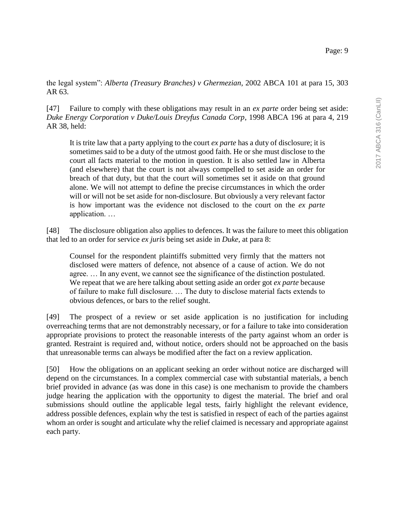the legal system": *Alberta (Treasury Branches) v Ghermezian*, 2002 ABCA 101 at para 15, 303 AR 63.

[47] Failure to comply with these obligations may result in an *ex parte* order being set aside: *Duke Energy Corporation v Duke/Louis Dreyfus Canada Corp*, 1998 ABCA 196 at para 4, 219 AR 38, held:

It is trite law that a party applying to the court *ex parte* has a duty of disclosure; it is sometimes said to be a duty of the utmost good faith. He or she must disclose to the court all facts material to the motion in question. It is also settled law in Alberta (and elsewhere) that the court is not always compelled to set aside an order for breach of that duty, but that the court will sometimes set it aside on that ground alone. We will not attempt to define the precise circumstances in which the order will or will not be set aside for non-disclosure. But obviously a very relevant factor is how important was the evidence not disclosed to the court on the *ex parte* application. …

[48] The disclosure obligation also applies to defences. It was the failure to meet this obligation that led to an order for service *ex juris* being set aside in *Duke,* at para 8:

Counsel for the respondent plaintiffs submitted very firmly that the matters not disclosed were matters of defence, not absence of a cause of action. We do not agree. … In any event, we cannot see the significance of the distinction postulated. We repeat that we are here talking about setting aside an order got *ex parte* because of failure to make full disclosure. … The duty to disclose material facts extends to obvious defences, or bars to the relief sought.

[49] The prospect of a review or set aside application is no justification for including overreaching terms that are not demonstrably necessary, or for a failure to take into consideration appropriate provisions to protect the reasonable interests of the party against whom an order is granted. Restraint is required and, without notice, orders should not be approached on the basis that unreasonable terms can always be modified after the fact on a review application.

[50] How the obligations on an applicant seeking an order without notice are discharged will depend on the circumstances. In a complex commercial case with substantial materials, a bench brief provided in advance (as was done in this case) is one mechanism to provide the chambers judge hearing the application with the opportunity to digest the material. The brief and oral submissions should outline the applicable legal tests, fairly highlight the relevant evidence, address possible defences, explain why the test is satisfied in respect of each of the parties against whom an order is sought and articulate why the relief claimed is necessary and appropriate against each party.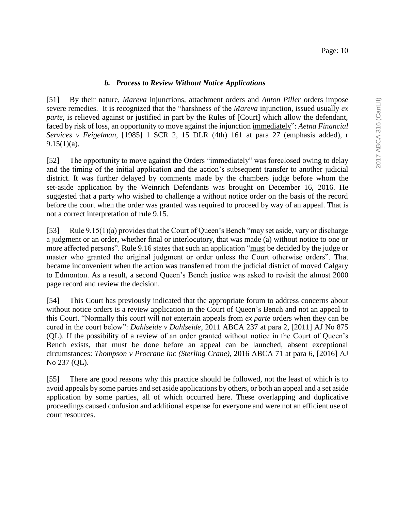[51] By their nature, *Mareva* injunctions, attachment orders and *Anton Piller* orders impose severe remedies. It is recognized that the "harshness of the *Mareva* injunction, issued usually *ex parte*, is relieved against or justified in part by the Rules of [Court] which allow the defendant, faced by risk of loss, an opportunity to move against the injunction immediately": *Aetna Financial Services v Feigelman*, [1985] 1 SCR 2, 15 DLR (4th) 161 at para 27 (emphasis added), r  $9.15(1)(a)$ .

[52] The opportunity to move against the Orders "immediately" was foreclosed owing to delay and the timing of the initial application and the action's subsequent transfer to another judicial district. It was further delayed by comments made by the chambers judge before whom the set-aside application by the Weinrich Defendants was brought on December 16, 2016. He suggested that a party who wished to challenge a without notice order on the basis of the record before the court when the order was granted was required to proceed by way of an appeal. That is not a correct interpretation of rule 9.15.

[53] Rule 9.15(1)(a) provides that the Court of Queen's Bench "may set aside, vary or discharge a judgment or an order, whether final or interlocutory, that was made (a) without notice to one or more affected persons". Rule 9.16 states that such an application "must be decided by the judge or master who granted the original judgment or order unless the Court otherwise orders". That became inconvenient when the action was transferred from the judicial district of moved Calgary to Edmonton. As a result, a second Queen's Bench justice was asked to revisit the almost 2000 page record and review the decision.

[54] This Court has previously indicated that the appropriate forum to address concerns about without notice orders is a review application in the Court of Queen's Bench and not an appeal to this Court. "Normally this court will not entertain appeals from *ex parte* orders when they can be cured in the court below": *Dahlseide v Dahlseide*, 2011 ABCA 237 at para 2, [2011] AJ No 875 (QL). If the possibility of a review of an order granted without notice in the Court of Queen's Bench exists, that must be done before an appeal can be launched, absent exceptional circumstances: *Thompson v Procrane Inc (Sterling Crane)*, 2016 ABCA 71 at para 6, [2016] AJ No 237 (QL).

[55] There are good reasons why this practice should be followed, not the least of which is to avoid appeals by some parties and set aside applications by others, or both an appeal and a set aside application by some parties, all of which occurred here. These overlapping and duplicative proceedings caused confusion and additional expense for everyone and were not an efficient use of court resources.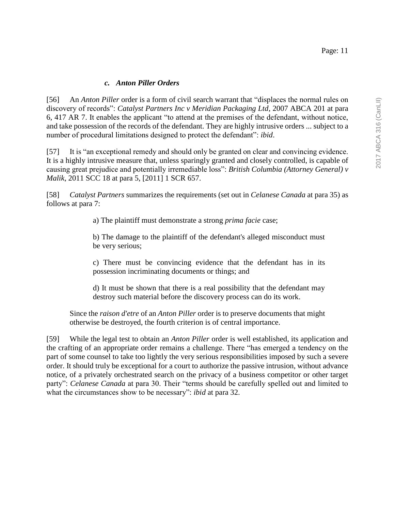#### Page: 11

#### *c. Anton Piller Orders*

[56] An *Anton Piller* order is a form of civil search warrant that "displaces the normal rules on discovery of records": *Catalyst Partners Inc v Meridian Packaging Ltd*, 2007 ABCA 201 at para 6, 417 AR 7. It enables the applicant "to attend at the premises of the defendant, without notice, and take possession of the records of the defendant. They are highly intrusive orders ... subject to a number of procedural limitations designed to protect the defendant": *ibid*.

[57] It is "an exceptional remedy and should only be granted on clear and convincing evidence. It is a highly intrusive measure that, unless sparingly granted and closely controlled, is capable of causing great prejudice and potentially irremediable loss": *British Columbia (Attorney General) v Malik*, 2011 SCC 18 at para 5, [2011] 1 SCR 657.

[58] *Catalyst Partners* summarizes the requirements (set out in *Celanese Canada* at para 35) as follows at para 7:

a) The plaintiff must demonstrate a strong *prima facie* case;

b) The damage to the plaintiff of the defendant's alleged misconduct must be very serious;

c) There must be convincing evidence that the defendant has in its possession incriminating documents or things; and

d) It must be shown that there is a real possibility that the defendant may destroy such material before the discovery process can do its work.

Since the *raison d'etre* of an *Anton Piller* order is to preserve documents that might otherwise be destroyed, the fourth criterion is of central importance.

[59] While the legal test to obtain an *Anton Piller* order is well established, its application and the crafting of an appropriate order remains a challenge. There "has emerged a tendency on the part of some counsel to take too lightly the very serious responsibilities imposed by such a severe order. It should truly be exceptional for a court to authorize the passive intrusion, without advance notice, of a privately orchestrated search on the privacy of a business competitor or other target party": *Celanese Canada* at para 30. Their "terms should be carefully spelled out and limited to what the circumstances show to be necessary": *ibid* at para 32.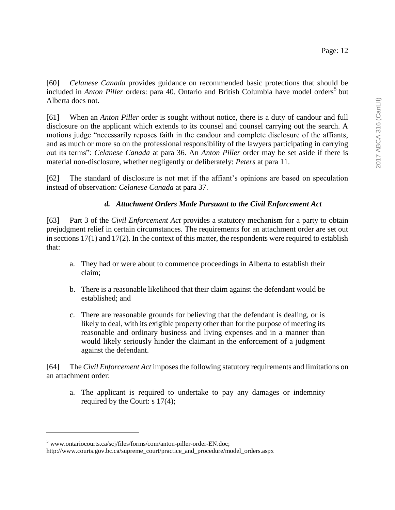[60] *Celanese Canada* provides guidance on recommended basic protections that should be included in *Anton Piller* orders: para 40. Ontario and British Columbia have model orders<sup>5</sup> but Alberta does not.

[61] When an *Anton Piller* order is sought without notice, there is a duty of candour and full disclosure on the applicant which extends to its counsel and counsel carrying out the search. A motions judge "necessarily reposes faith in the candour and complete disclosure of the affiants, and as much or more so on the professional responsibility of the lawyers participating in carrying out its terms": *Celanese Canada* at para 36. An *Anton Piller* order may be set aside if there is material non-disclosure, whether negligently or deliberately: *Peters* at para 11.

[62] The standard of disclosure is not met if the affiant's opinions are based on speculation instead of observation: *Celanese Canada* at para 37.

# *d. Attachment Orders Made Pursuant to the Civil Enforcement Act*

[63] Part 3 of the *Civil Enforcement Act* provides a statutory mechanism for a party to obtain prejudgment relief in certain circumstances. The requirements for an attachment order are set out in sections 17(1) and 17(2). In the context of this matter, the respondents were required to establish that:

- a. They had or were about to commence proceedings in Alberta to establish their claim;
- b. There is a reasonable likelihood that their claim against the defendant would be established; and
- c. There are reasonable grounds for believing that the defendant is dealing, or is likely to deal, with its exigible property other than for the purpose of meeting its reasonable and ordinary business and living expenses and in a manner than would likely seriously hinder the claimant in the enforcement of a judgment against the defendant.

[64] The *Civil Enforcement Act* imposes the following statutory requirements and limitations on an attachment order:

a. The applicant is required to undertake to pay any damages or indemnity required by the Court: s 17(4);

 $\overline{a}$ 

<sup>5</sup> www.ontariocourts.ca/scj/files/forms/com/anton-piller-order-EN.doc;

http://www.courts.gov.bc.ca/supreme\_court/practice\_and\_procedure/model\_orders.aspx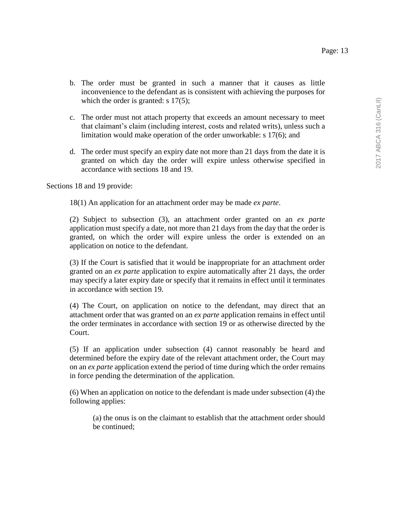- b. The order must be granted in such a manner that it causes as little inconvenience to the defendant as is consistent with achieving the purposes for which the order is granted: s 17(5);
- c. The order must not attach property that exceeds an amount necessary to meet that claimant's claim (including interest, costs and related writs), unless such a limitation would make operation of the order unworkable: s 17(6); and
- d. The order must specify an expiry date not more than 21 days from the date it is granted on which day the order will expire unless otherwise specified in accordance with sections 18 and 19.

Sections 18 and 19 provide:

18(1) An application for an attachment order may be made *ex parte*.

(2) Subject to subsection (3), an attachment order granted on an *ex parte* application must specify a date, not more than 21 days from the day that the order is granted, on which the order will expire unless the order is extended on an application on notice to the defendant.

(3) If the Court is satisfied that it would be inappropriate for an attachment order granted on an *ex parte* application to expire automatically after 21 days, the order may specify a later expiry date or specify that it remains in effect until it terminates in accordance with section 19.

(4) The Court, on application on notice to the defendant, may direct that an attachment order that was granted on an *ex parte* application remains in effect until the order terminates in accordance with section 19 or as otherwise directed by the Court.

(5) If an application under subsection (4) cannot reasonably be heard and determined before the expiry date of the relevant attachment order, the Court may on an *ex parte* application extend the period of time during which the order remains in force pending the determination of the application.

(6) When an application on notice to the defendant is made under subsection (4) the following applies:

(a) the onus is on the claimant to establish that the attachment order should be continued;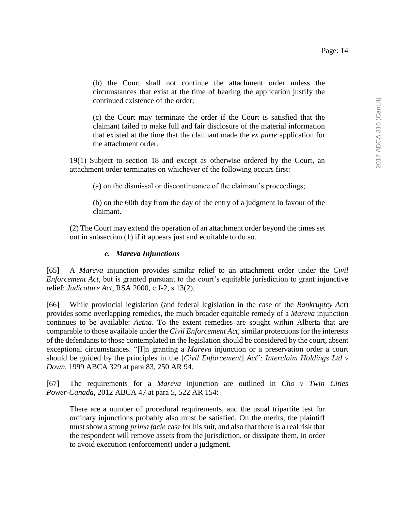(b) the Court shall not continue the attachment order unless the circumstances that exist at the time of hearing the application justify the continued existence of the order;

(c) the Court may terminate the order if the Court is satisfied that the claimant failed to make full and fair disclosure of the material information that existed at the time that the claimant made the *ex parte* application for the attachment order.

19(1) Subject to section 18 and except as otherwise ordered by the Court, an attachment order terminates on whichever of the following occurs first:

(a) on the dismissal or discontinuance of the claimant's proceedings;

(b) on the 60th day from the day of the entry of a judgment in favour of the claimant.

(2) The Court may extend the operation of an attachment order beyond the times set out in subsection (1) if it appears just and equitable to do so.

### *e. Mareva Injunctions*

[65] A *Mareva* injunction provides similar relief to an attachment order under the *Civil Enforcement Act*, but is granted pursuant to the court's equitable jurisdiction to grant injunctive relief: *Judicature Act*, RSA 2000, c J-2, s 13(2).

[66] While provincial legislation (and federal legislation in the case of the *Bankruptcy Act*) provides some overlapping remedies, the much broader equitable remedy of a *Mareva* injunction continues to be available: *Aetna*. To the extent remedies are sought within Alberta that are comparable to those available under the *Civil Enforcement Act*, similar protections for the interests of the defendants to those contemplated in the legislation should be considered by the court, absent exceptional circumstances. "[I]n granting a *Mareva* injunction or a preservation order a court should be guided by the principles in the [*Civil Enforcement*] *Act*": *Interclaim Holdings Ltd v Down,* 1999 ABCA 329 at para 83, 250 AR 94.

[67] The requirements for a *Mareva* injunction are outlined in *Cho v Twin Cities Power-Canada*, 2012 ABCA 47 at para 5, 522 AR 154:

There are a number of procedural requirements, and the usual tripartite test for ordinary injunctions probably also must be satisfied. On the merits, the plaintiff must show a strong *prima facie* case for his suit, and also that there is a real risk that the respondent will remove assets from the jurisdiction, or dissipate them, in order to avoid execution (enforcement) under a judgment.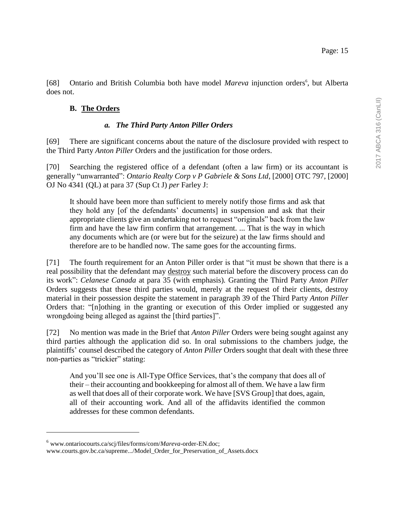[68] Ontario and British Columbia both have model *Mareva* injunction orders<sup>6</sup>, but Alberta does not.

### **B. The Orders**

### *a. The Third Party Anton Piller Orders*

[69] There are significant concerns about the nature of the disclosure provided with respect to the Third Party *Anton Piller* Orders and the justification for those orders.

[70] Searching the registered office of a defendant (often a law firm) or its accountant is generally "unwarranted": *Ontario Realty Corp v P Gabriele & Sons Ltd*, [2000] OTC 797, [2000] OJ No 4341 (QL) at para 37 (Sup Ct J) *per* Farley J:

It should have been more than sufficient to merely notify those firms and ask that they hold any [of the defendants' documents] in suspension and ask that their appropriate clients give an undertaking not to request "originals" back from the law firm and have the law firm confirm that arrangement. ... That is the way in which any documents which are (or were but for the seizure) at the law firms should and therefore are to be handled now. The same goes for the accounting firms.

[71] The fourth requirement for an Anton Piller order is that "it must be shown that there is a real possibility that the defendant may destroy such material before the discovery process can do its work": *Celanese Canada* at para 35 (with emphasis)*.* Granting the Third Party *Anton Piller*  Orders suggests that these third parties would, merely at the request of their clients, destroy material in their possession despite the statement in paragraph 39 of the Third Party *Anton Piller*  Orders that: "[n]othing in the granting or execution of this Order implied or suggested any wrongdoing being alleged as against the [third parties]".

[72] No mention was made in the Brief that *Anton Piller* Orders were being sought against any third parties although the application did so. In oral submissions to the chambers judge, the plaintiffs' counsel described the category of *Anton Piller* Orders sought that dealt with these three non-parties as "trickier" stating:

And you'll see one is All-Type Office Services, that's the company that does all of their – their accounting and bookkeeping for almost all of them. We have a law firm as well that does all of their corporate work. We have [SVS Group] that does, again, all of their accounting work. And all of the affidavits identified the common addresses for these common defendants.

 $\overline{a}$ 

<sup>6</sup> [www.ontariocourts.ca/scj/files/forms/com/](http://www.ontariocourts.ca/scj/files/forms/com/mareva-order-EN.doc)*Mareva*-order-EN.doc; www.courts.gov.bc.ca/supreme.../Model\_Order\_for\_Preservation\_of\_Assets.docx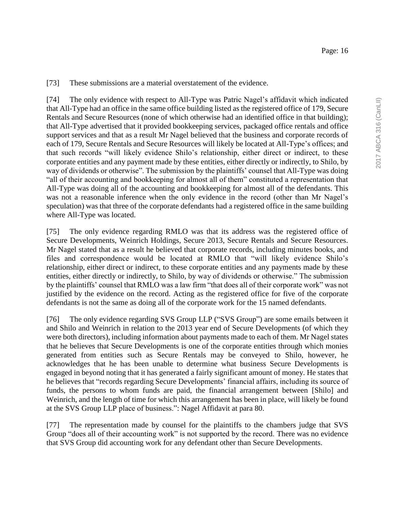[73] These submissions are a material overstatement of the evidence.

[74] The only evidence with respect to All-Type was Patric Nagel's affidavit which indicated that All-Type had an office in the same office building listed as the registered office of 179, Secure Rentals and Secure Resources (none of which otherwise had an identified office in that building); that All-Type advertised that it provided bookkeeping services, packaged office rentals and office support services and that as a result Mr Nagel believed that the business and corporate records of each of 179, Secure Rentals and Secure Resources will likely be located at All-Type's offices; and that such records "will likely evidence Shilo's relationship, either direct or indirect, to these corporate entities and any payment made by these entities, either directly or indirectly, to Shilo, by way of dividends or otherwise". The submission by the plaintiffs' counsel that All-Type was doing "all of their accounting and bookkeeping for almost all of them" constituted a representation that All-Type was doing all of the accounting and bookkeeping for almost all of the defendants. This was not a reasonable inference when the only evidence in the record (other than Mr Nagel's speculation) was that three of the corporate defendants had a registered office in the same building where All-Type was located.

[75] The only evidence regarding RMLO was that its address was the registered office of Secure Developments, Weinrich Holdings, Secure 2013, Secure Rentals and Secure Resources. Mr Nagel stated that as a result he believed that corporate records, including minutes books, and files and correspondence would be located at RMLO that "will likely evidence Shilo's relationship, either direct or indirect, to these corporate entities and any payments made by these entities, either directly or indirectly, to Shilo, by way of dividends or otherwise." The submission by the plaintiffs' counsel that RMLO was a law firm "that does all of their corporate work" was not justified by the evidence on the record. Acting as the registered office for five of the corporate defendants is not the same as doing all of the corporate work for the 15 named defendants.

[76] The only evidence regarding SVS Group LLP ("SVS Group") are some emails between it and Shilo and Weinrich in relation to the 2013 year end of Secure Developments (of which they were both directors), including information about payments made to each of them. Mr Nagel states that he believes that Secure Developments is one of the corporate entities through which monies generated from entities such as Secure Rentals may be conveyed to Shilo, however, he acknowledges that he has been unable to determine what business Secure Developments is engaged in beyond noting that it has generated a fairly significant amount of money. He states that he believes that "records regarding Secure Developments' financial affairs, including its source of funds, the persons to whom funds are paid, the financial arrangement between [Shilo] and Weinrich, and the length of time for which this arrangement has been in place, will likely be found at the SVS Group LLP place of business.": Nagel Affidavit at para 80.

[77] The representation made by counsel for the plaintiffs to the chambers judge that SVS Group "does all of their accounting work" is not supported by the record. There was no evidence that SVS Group did accounting work for any defendant other than Secure Developments.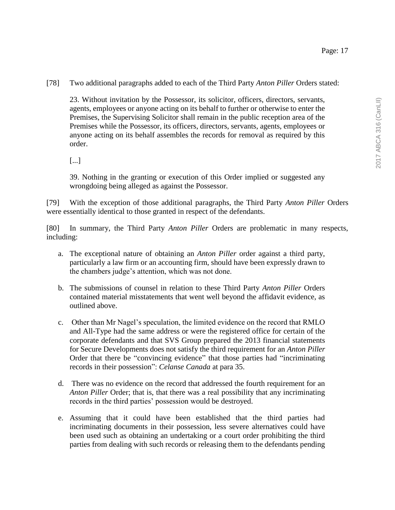[78] Two additional paragraphs added to each of the Third Party *Anton Piller* Orders stated:

23. Without invitation by the Possessor, its solicitor, officers, directors, servants, agents, employees or anyone acting on its behalf to further or otherwise to enter the Premises, the Supervising Solicitor shall remain in the public reception area of the Premises while the Possessor, its officers, directors, servants, agents, employees or anyone acting on its behalf assembles the records for removal as required by this order.

[...]

39. Nothing in the granting or execution of this Order implied or suggested any wrongdoing being alleged as against the Possessor.

[79] With the exception of those additional paragraphs, the Third Party *Anton Piller* Orders were essentially identical to those granted in respect of the defendants.

[80] In summary, the Third Party *Anton Piller* Orders are problematic in many respects, including:

- a. The exceptional nature of obtaining an *Anton Piller* order against a third party, particularly a law firm or an accounting firm, should have been expressly drawn to the chambers judge's attention, which was not done.
- b. The submissions of counsel in relation to these Third Party *Anton Piller* Orders contained material misstatements that went well beyond the affidavit evidence, as outlined above.
- c. Other than Mr Nagel's speculation, the limited evidence on the record that RMLO and All-Type had the same address or were the registered office for certain of the corporate defendants and that SVS Group prepared the 2013 financial statements for Secure Developments does not satisfy the third requirement for an *Anton Piller*  Order that there be "convincing evidence" that those parties had "incriminating records in their possession": *Celanse Canada* at para 35.
- d. There was no evidence on the record that addressed the fourth requirement for an *Anton Piller* Order; that is, that there was a real possibility that any incriminating records in the third parties' possession would be destroyed.
- e. Assuming that it could have been established that the third parties had incriminating documents in their possession, less severe alternatives could have been used such as obtaining an undertaking or a court order prohibiting the third parties from dealing with such records or releasing them to the defendants pending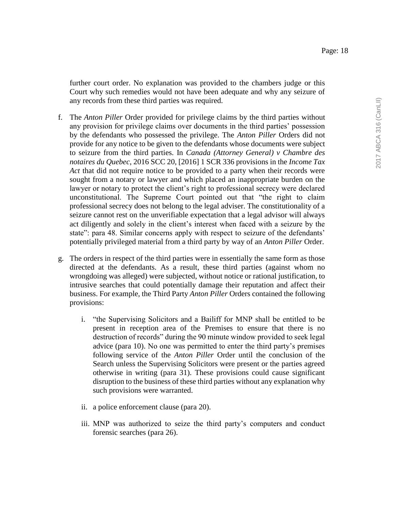further court order. No explanation was provided to the chambers judge or this Court why such remedies would not have been adequate and why any seizure of any records from these third parties was required.

- f. The *Anton Piller* Order provided for privilege claims by the third parties without any provision for privilege claims over documents in the third parties' possession by the defendants who possessed the privilege. The *Anton Piller* Orders did not provide for any notice to be given to the defendants whose documents were subject to seizure from the third parties. In *Canada (Attorney General) v Chambre des notaires du Quebec*, 2016 SCC 20, [2016] 1 SCR 336 provisions in the *Income Tax Act* that did not require notice to be provided to a party when their records were sought from a notary or lawyer and which placed an inappropriate burden on the lawyer or notary to protect the client's right to professional secrecy were declared unconstitutional. The Supreme Court pointed out that "the right to claim professional secrecy does not belong to the legal adviser. The constitutionality of a seizure cannot rest on the unverifiable expectation that a legal advisor will always act diligently and solely in the client's interest when faced with a seizure by the state": para 48. Similar concerns apply with respect to seizure of the defendants' potentially privileged material from a third party by way of an *Anton Piller* Order.
- g. The orders in respect of the third parties were in essentially the same form as those directed at the defendants. As a result, these third parties (against whom no wrongdoing was alleged) were subjected, without notice or rational justification, to intrusive searches that could potentially damage their reputation and affect their business. For example, the Third Party *Anton Piller* Orders contained the following provisions:
	- i. "the Supervising Solicitors and a Bailiff for MNP shall be entitled to be present in reception area of the Premises to ensure that there is no destruction of records" during the 90 minute window provided to seek legal advice (para 10). No one was permitted to enter the third party's premises following service of the *Anton Piller* Order until the conclusion of the Search unless the Supervising Solicitors were present or the parties agreed otherwise in writing (para 31). These provisions could cause significant disruption to the business of these third parties without any explanation why such provisions were warranted.
	- ii. a police enforcement clause (para 20).
	- iii. MNP was authorized to seize the third party's computers and conduct forensic searches (para 26).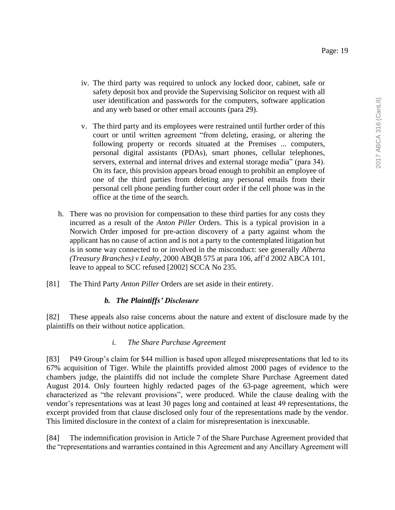- iv. The third party was required to unlock any locked door, cabinet, safe or safety deposit box and provide the Supervising Solicitor on request with all user identification and passwords for the computers, software application and any web based or other email accounts (para 29).
- v. The third party and its employees were restrained until further order of this court or until written agreement "from deleting, erasing, or altering the following property or records situated at the Premises ... computers, personal digital assistants (PDAs), smart phones, cellular telephones, servers, external and internal drives and external storage media" (para 34). On its face, this provision appears broad enough to prohibit an employee of one of the third parties from deleting any personal emails from their personal cell phone pending further court order if the cell phone was in the office at the time of the search.
- h. There was no provision for compensation to these third parties for any costs they incurred as a result of the *Anton Piller* Orders. This is a typical provision in a Norwich Order imposed for pre-action discovery of a party against whom the applicant has no cause of action and is not a party to the contemplated litigation but is in some way connected to or involved in the misconduct: see generally *Alberta (Treasury Branches) v Leahy*, 2000 ABQB 575 at para 106, aff'd 2002 ABCA 101, leave to appeal to SCC refused [2002] SCCA No 235.
- [81] The Third Party *Anton Piller* Orders are set aside in their entirety.

## *b. The Plaintiffs' Disclosure*

[82] These appeals also raise concerns about the nature and extent of disclosure made by the plaintiffs on their without notice application.

### *i. The Share Purchase Agreement*

[83] P49 Group's claim for \$44 million is based upon alleged misrepresentations that led to its 67% acquisition of Tiger. While the plaintiffs provided almost 2000 pages of evidence to the chambers judge, the plaintiffs did not include the complete Share Purchase Agreement dated August 2014. Only fourteen highly redacted pages of the 63-page agreement, which were characterized as "the relevant provisions", were produced. While the clause dealing with the vendor's representations was at least 30 pages long and contained at least 49 representations, the excerpt provided from that clause disclosed only four of the representations made by the vendor. This limited disclosure in the context of a claim for misrepresentation is inexcusable.

[84] The indemnification provision in Article 7 of the Share Purchase Agreement provided that the "representations and warranties contained in this Agreement and any Ancillary Agreement will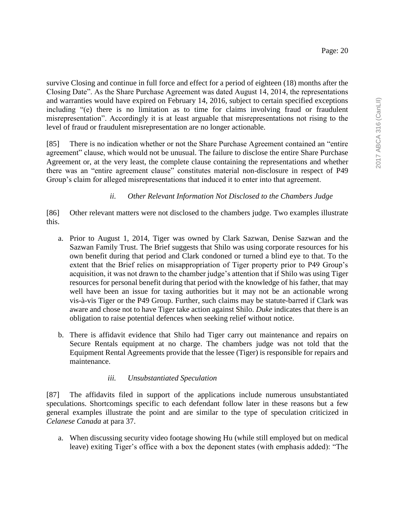survive Closing and continue in full force and effect for a period of eighteen (18) months after the Closing Date". As the Share Purchase Agreement was dated August 14, 2014, the representations and warranties would have expired on February 14, 2016, subject to certain specified exceptions including "(e) there is no limitation as to time for claims involving fraud or fraudulent misrepresentation". Accordingly it is at least arguable that misrepresentations not rising to the level of fraud or fraudulent misrepresentation are no longer actionable.

[85] There is no indication whether or not the Share Purchase Agreement contained an "entire agreement" clause, which would not be unusual. The failure to disclose the entire Share Purchase Agreement or, at the very least, the complete clause containing the representations and whether there was an "entire agreement clause" constitutes material non-disclosure in respect of P49 Group's claim for alleged misrepresentations that induced it to enter into that agreement.

## *ii. Other Relevant Information Not Disclosed to the Chambers Judge*

[86] Other relevant matters were not disclosed to the chambers judge. Two examples illustrate this.

- a. Prior to August 1, 2014, Tiger was owned by Clark Sazwan, Denise Sazwan and the Sazwan Family Trust. The Brief suggests that Shilo was using corporate resources for his own benefit during that period and Clark condoned or turned a blind eye to that. To the extent that the Brief relies on misappropriation of Tiger property prior to P49 Group's acquisition, it was not drawn to the chamber judge's attention that if Shilo was using Tiger resources for personal benefit during that period with the knowledge of his father, that may well have been an issue for taxing authorities but it may not be an actionable wrong vis-à-vis Tiger or the P49 Group. Further, such claims may be statute-barred if Clark was aware and chose not to have Tiger take action against Shilo. *Duke* indicates that there is an obligation to raise potential defences when seeking relief without notice.
- b. There is affidavit evidence that Shilo had Tiger carry out maintenance and repairs on Secure Rentals equipment at no charge. The chambers judge was not told that the Equipment Rental Agreements provide that the lessee (Tiger) is responsible for repairs and maintenance.

## *iii. Unsubstantiated Speculation*

[87] The affidavits filed in support of the applications include numerous unsubstantiated speculations. Shortcomings specific to each defendant follow later in these reasons but a few general examples illustrate the point and are similar to the type of speculation criticized in *Celanese Canada* at para 37.

a. When discussing security video footage showing Hu (while still employed but on medical leave) exiting Tiger's office with a box the deponent states (with emphasis added): "The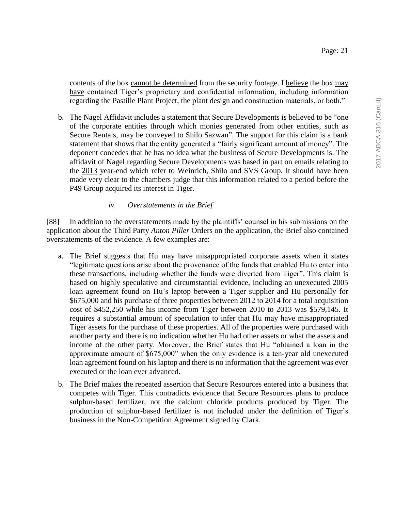contents of the box cannot be determined from the security footage. I believe the box may have contained Tiger's proprietary and confidential information, including information regarding the Pastille Plant Project, the plant design and construction materials, or both."

b. The Nagel Affidavit includes a statement that Secure Developments is believed to be "one of the corporate entities through which monies generated from other entities, such as Secure Rentals, may be conveyed to Shilo Sazwan". The support for this claim is a bank statement that shows that the entity generated a "fairly significant amount of money". The deponent concedes that he has no idea what the business of Secure Developments is. The affidavit of Nagel regarding Secure Developments was based in part on emails relating to the 2013 year-end which refer to Weinrich, Shilo and SVS Group. It should have been made very clear to the chambers judge that this information related to a period before the P49 Group acquired its interest in Tiger.

### *iv. Overstatements in the Brief*

[88] In addition to the overstatements made by the plaintiffs' counsel in his submissions on the application about the Third Party *Anton Piller* Orders on the application, the Brief also contained overstatements of the evidence. A few examples are:

- a. The Brief suggests that Hu may have misappropriated corporate assets when it states "legitimate questions arise about the provenance of the funds that enabled Hu to enter into these transactions, including whether the funds were diverted from Tiger". This claim is based on highly speculative and circumstantial evidence, including an unexecuted 2005 loan agreement found on Hu's laptop between a Tiger supplier and Hu personally for \$675,000 and his purchase of three properties between 2012 to 2014 for a total acquisition cost of \$452,250 while his income from Tiger between 2010 to 2013 was \$579,145. It requires a substantial amount of speculation to infer that Hu may have misappropriated Tiger assets for the purchase of these properties. All of the properties were purchased with another party and there is no indication whether Hu had other assets or what the assets and income of the other party. Moreover, the Brief states that Hu "obtained a loan in the approximate amount of \$675,000" when the only evidence is a ten-year old unexecuted loan agreement found on his laptop and there is no information that the agreement was ever executed or the loan ever advanced.
- b. The Brief makes the repeated assertion that Secure Resources entered into a business that competes with Tiger. This contradicts evidence that Secure Resources plans to produce sulphur-based fertilizer, not the calcium chloride products produced by Tiger. The production of sulphur-based fertilizer is not included under the definition of Tiger's business in the Non-Competition Agreement signed by Clark.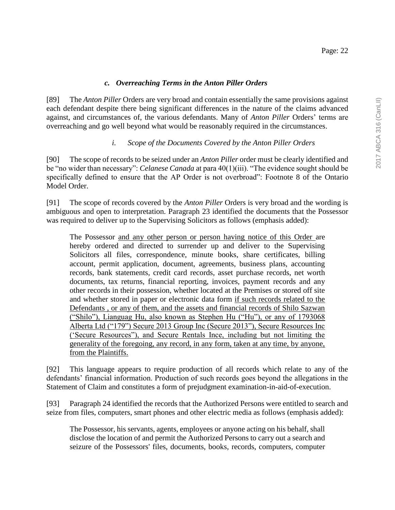[89] The *Anton Piller* Orders are very broad and contain essentially the same provisions against each defendant despite there being significant differences in the nature of the claims advanced against, and circumstances of, the various defendants. Many of *Anton Piller* Orders' terms are overreaching and go well beyond what would be reasonably required in the circumstances.

# *i. Scope of the Documents Covered by the Anton Piller Orders*

[90] The scope of records to be seized under an *Anton Piller* order must be clearly identified and be "no wider than necessary": *Celanese Canada* at para 40(1)(iii). "The evidence sought should be specifically defined to ensure that the AP Order is not overbroad": Footnote 8 of the Ontario Model Order.

[91] The scope of records covered by the *Anton Piller* Orders is very broad and the wording is ambiguous and open to interpretation. Paragraph 23 identified the documents that the Possessor was required to deliver up to the Supervising Solicitors as follows (emphasis added):

The Possessor and any other person or person having notice of this Order are hereby ordered and directed to surrender up and deliver to the Supervising Solicitors all files, correspondence, minute books, share certificates, billing account, permit application, document, agreements, business plans, accounting records, bank statements, credit card records, asset purchase records, net worth documents, tax returns, financial reporting, invoices, payment records and any other records in their possession, whether located at the Premises or stored off site and whether stored in paper or electronic data form if such records related to the Defendants , or any of them, and the assets and financial records of Shilo Sazwan ("Shilo"), Lianguag Hu, also known as Stephen Hu ("Hu"), or any of 1793068 Alberta Ltd ("179") Secure 2013 Group Inc (Secure 2013"), Secure Resources Inc ('Secure Resources"), and Secure Rentals Ince, including but not limiting the generality of the foregoing, any record, in any form, taken at any time, by anyone, from the Plaintiffs.

[92] This language appears to require production of all records which relate to any of the defendants' financial information. Production of such records goes beyond the allegations in the Statement of Claim and constitutes a form of prejudgment examination-in-aid-of-execution.

[93] Paragraph 24 identified the records that the Authorized Persons were entitled to search and seize from files, computers, smart phones and other electric media as follows (emphasis added):

The Possessor, his servants, agents, employees or anyone acting on his behalf, shall disclose the location of and permit the Authorized Persons to carry out a search and seizure of the Possessors' files, documents, books, records, computers, computer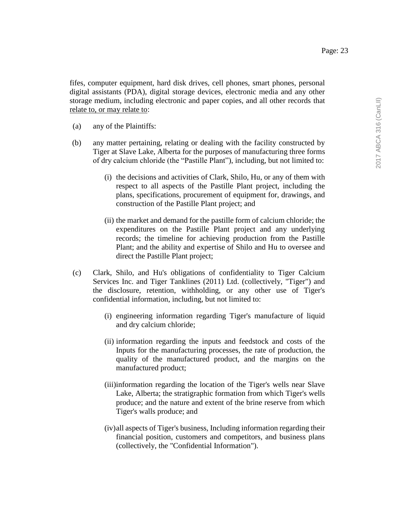fifes, computer equipment, hard disk drives, cell phones, smart phones, personal digital assistants (PDA), digital storage devices, electronic media and any other storage medium, including electronic and paper copies, and all other records that relate to, or may relate to:

- (a) any of the Plaintiffs:
- (b) any matter pertaining, relating or dealing with the facility constructed by Tiger at Slave Lake, Alberta for the purposes of manufacturing three forms of dry calcium chloride (the "Pastille Plant"), including, but not limited to:
	- (i) the decisions and activities of Clark, Shilo, Hu, or any of them with respect to all aspects of the Pastille Plant project, including the plans, specifications, procurement of equipment for, drawings, and construction of the Pastille Plant project; and
	- (ii) the market and demand for the pastille form of calcium chloride; the expenditures on the Pastille Plant project and any underlying records; the timeline for achieving production from the Pastille Plant; and the ability and expertise of Shilo and Hu to oversee and direct the Pastille Plant project;
- (c) Clark, Shilo, and Hu's obligations of confidentiality to Tiger Calcium Services Inc. and Tiger Tanklines (2011) Ltd. (collectively, "Tiger") and the disclosure, retention, withholding, or any other use of Tiger's confidential information, including, but not limited to:
	- (i) engineering information regarding Tiger's manufacture of liquid and dry calcium chloride;
	- (ii) information regarding the inputs and feedstock and costs of the Inputs for the manufacturing processes, the rate of production, the quality of the manufactured product, and the margins on the manufactured product;
	- (iii)information regarding the location of the Tiger's wells near Slave Lake, Alberta; the stratigraphic formation from which Tiger's wells produce; and the nature and extent of the brine reserve from which Tiger's walls produce; and
	- (iv)all aspects of Tiger's business, Including information regarding their financial position, customers and competitors, and business plans (collectively, the "Confidential Information").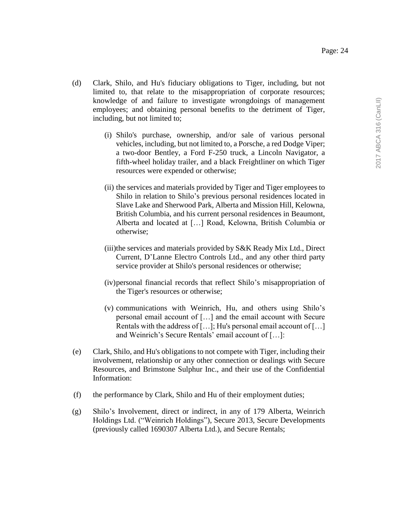- (d) Clark, Shilo, and Hu's fiduciary obligations to Tiger, including, but not limited to, that relate to the misappropriation of corporate resources; knowledge of and failure to investigate wrongdoings of management employees; and obtaining personal benefits to the detriment of Tiger, including, but not limited to;
	- (i) Shilo's purchase, ownership, and/or sale of various personal vehicles, including, but not limited to, a Porsche, a red Dodge Viper; a two-door Bentley, a Ford F-250 truck, a Lincoln Navigator, a fifth-wheel holiday trailer, and a black Freightliner on which Tiger resources were expended or otherwise;
	- (ii) the services and materials provided by Tiger and Tiger employees to Shilo in relation to Shilo's previous personal residences located in Slave Lake and Sherwood Park, Alberta and Mission Hill, Kelowna, British Columbia, and his current personal residences in Beaumont, Alberta and located at […] Road, Kelowna, British Columbia or otherwise;
	- (iii)the services and materials provided by S&K Ready Mix Ltd., Direct Current, D'Lanne Electro Controls Ltd., and any other third party service provider at Shilo's personal residences or otherwise;
	- (iv)personal financial records that reflect Shilo's misappropriation of the Tiger's resources or otherwise;
	- (v) communications with Weinrich, Hu, and others using Shilo's personal email account of […] and the email account with Secure Rentals with the address of […]; Hu's personal email account of […] and Weinrich's Secure Rentals' email account of […]:
- (e) Clark, Shilo, and Hu's obligations to not compete with Tiger, including their involvement, relationship or any other connection or dealings with Secure Resources, and Brimstone Sulphur Inc., and their use of the Confidential Information:
- (f) the performance by Clark, Shilo and Hu of their employment duties;
- (g) Shilo's Involvement, direct or indirect, in any of 179 Alberta, Weinrich Holdings Ltd. ("Weinrich Holdings"), Secure 2013, Secure Developments (previously called 1690307 Alberta Ltd.), and Secure Rentals;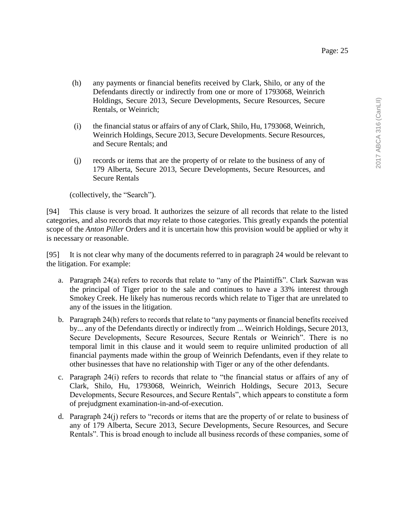- (h) any payments or financial benefits received by Clark, Shilo, or any of the Defendants directly or indirectly from one or more of 1793068, Weinrich Holdings, Secure 2013, Secure Developments, Secure Resources, Secure Rentals, or Weinrich;
- (i) the financial status or affairs of any of Clark, Shilo, Hu, 1793068, Weinrich, Weinrich Holdings, Secure 2013, Secure Developments. Secure Resources, and Secure Rentals; and
- (j) records or items that are the property of or relate to the business of any of 179 Alberta, Secure 2013, Secure Developments, Secure Resources, and Secure Rentals

(collectively, the "Search").

[94] This clause is very broad. It authorizes the seizure of all records that relate to the listed categories, and also records that *may* relate to those categories. This greatly expands the potential scope of the *Anton Piller* Orders and it is uncertain how this provision would be applied or why it is necessary or reasonable.

[95] It is not clear why many of the documents referred to in paragraph 24 would be relevant to the litigation. For example:

- a. Paragraph 24(a) refers to records that relate to "any of the Plaintiffs". Clark Sazwan was the principal of Tiger prior to the sale and continues to have a 33% interest through Smokey Creek. He likely has numerous records which relate to Tiger that are unrelated to any of the issues in the litigation.
- b. Paragraph 24(h) refers to records that relate to "any payments or financial benefits received by... any of the Defendants directly or indirectly from ... Weinrich Holdings, Secure 2013, Secure Developments, Secure Resources, Secure Rentals or Weinrich". There is no temporal limit in this clause and it would seem to require unlimited production of all financial payments made within the group of Weinrich Defendants, even if they relate to other businesses that have no relationship with Tiger or any of the other defendants.
- c. Paragraph 24(i) refers to records that relate to "the financial status or affairs of any of Clark, Shilo, Hu, 1793068, Weinrich, Weinrich Holdings, Secure 2013, Secure Developments, Secure Resources, and Secure Rentals", which appears to constitute a form of prejudgment examination-in-and-of-execution.
- d. Paragraph 24(j) refers to "records or items that are the property of or relate to business of any of 179 Alberta, Secure 2013, Secure Developments, Secure Resources, and Secure Rentals". This is broad enough to include all business records of these companies, some of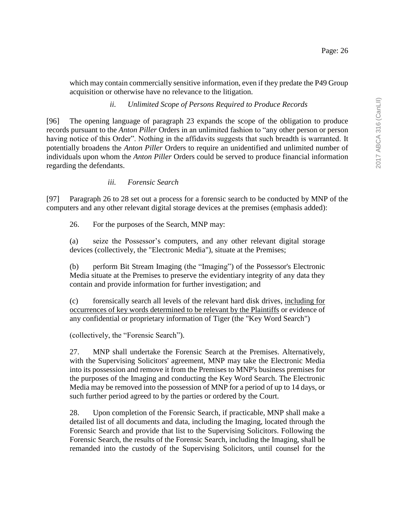which may contain commercially sensitive information, even if they predate the P49 Group acquisition or otherwise have no relevance to the litigation.

## *ii. Unlimited Scope of Persons Required to Produce Records*

[96] The opening language of paragraph 23 expands the scope of the obligation to produce records pursuant to the *Anton Piller* Orders in an unlimited fashion to "any other person or person having notice of this Order". Nothing in the affidavits suggests that such breadth is warranted. It potentially broadens the *Anton Piller* Orders to require an unidentified and unlimited number of individuals upon whom the *Anton Piller* Orders could be served to produce financial information regarding the defendants.

## *iii. Forensic Search*

[97] Paragraph 26 to 28 set out a process for a forensic search to be conducted by MNP of the computers and any other relevant digital storage devices at the premises (emphasis added):

26. For the purposes of the Search, MNP may:

(a) seize the Possessor's computers, and any other relevant digital storage devices (collectively, the "Electronic Media"), situate at the Premises;

(b) perform Bit Stream Imaging (the "Imaging") of the Possessor's Electronic Media situate at the Premises to preserve the evidentiary integrity of any data they contain and provide information for further investigation; and

(c) forensically search all levels of the relevant hard disk drives, including for occurrences of key words determined to be relevant by the Plaintiffs or evidence of any confidential or proprietary information of Tiger (the "Key Word Search")

(collectively, the "Forensic Search").

27. MNP shall undertake the Forensic Search at the Premises. Alternatively, with the Supervising Solicitors' agreement, MNP may take the Electronic Media into its possession and remove it from the Premises to MNP's business premises for the purposes of the Imaging and conducting the Key Word Search. The Electronic Media may be removed into the possession of MNP for a period of up to 14 days, or such further period agreed to by the parties or ordered by the Court.

28. Upon completion of the Forensic Search, if practicable, MNP shall make a detailed list of all documents and data, including the Imaging, located through the Forensic Search and provide that list to the Supervising Solicitors. Following the Forensic Search, the results of the Forensic Search, including the Imaging, shall be remanded into the custody of the Supervising Solicitors, until counsel for the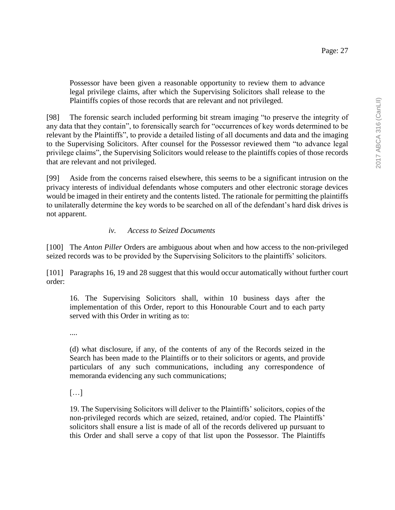Possessor have been given a reasonable opportunity to review them to advance legal privilege claims, after which the Supervising Solicitors shall release to the Plaintiffs copies of those records that are relevant and not privileged.

[98] The forensic search included performing bit stream imaging "to preserve the integrity of any data that they contain", to forensically search for "occurrences of key words determined to be relevant by the Plaintiffs", to provide a detailed listing of all documents and data and the imaging to the Supervising Solicitors. After counsel for the Possessor reviewed them "to advance legal privilege claims", the Supervising Solicitors would release to the plaintiffs copies of those records that are relevant and not privileged.

[99] Aside from the concerns raised elsewhere, this seems to be a significant intrusion on the privacy interests of individual defendants whose computers and other electronic storage devices would be imaged in their entirety and the contents listed. The rationale for permitting the plaintiffs to unilaterally determine the key words to be searched on all of the defendant's hard disk drives is not apparent.

# *iv. Access to Seized Documents*

[100] The *Anton Piller* Orders are ambiguous about when and how access to the non-privileged seized records was to be provided by the Supervising Solicitors to the plaintiffs' solicitors.

[101] Paragraphs 16, 19 and 28 suggest that this would occur automatically without further court order:

16. The Supervising Solicitors shall, within 10 business days after the implementation of this Order, report to this Honourable Court and to each party served with this Order in writing as to:

....

(d) what disclosure, if any, of the contents of any of the Records seized in the Search has been made to the Plaintiffs or to their solicitors or agents, and provide particulars of any such communications, including any correspondence of memoranda evidencing any such communications;

[…]

19. The Supervising Solicitors will deliver to the Plaintiffs' solicitors, copies of the non-privileged records which are seized, retained, and/or copied. The Plaintiffs' solicitors shall ensure a list is made of all of the records delivered up pursuant to this Order and shall serve a copy of that list upon the Possessor. The Plaintiffs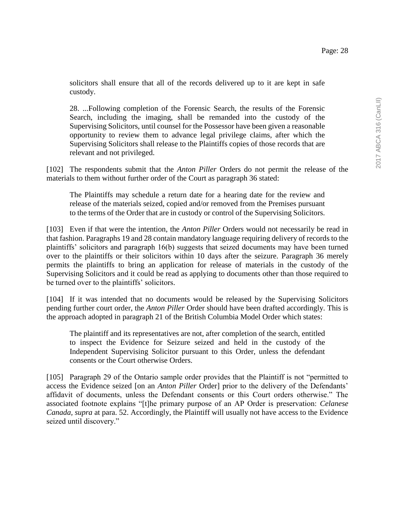solicitors shall ensure that all of the records delivered up to it are kept in safe custody.

28. ...Following completion of the Forensic Search, the results of the Forensic Search, including the imaging, shall be remanded into the custody of the Supervising Solicitors, until counsel for the Possessor have been given a reasonable opportunity to review them to advance legal privilege claims, after which the Supervising Solicitors shall release to the Plaintiffs copies of those records that are relevant and not privileged.

[102] The respondents submit that the *Anton Piller* Orders do not permit the release of the materials to them without further order of the Court as paragraph 36 stated:

The Plaintiffs may schedule a return date for a hearing date for the review and release of the materials seized, copied and/or removed from the Premises pursuant to the terms of the Order that are in custody or control of the Supervising Solicitors.

[103] Even if that were the intention, the *Anton Piller* Orders would not necessarily be read in that fashion. Paragraphs 19 and 28 contain mandatory language requiring delivery of records to the plaintiffs' solicitors and paragraph 16(b) suggests that seized documents may have been turned over to the plaintiffs or their solicitors within 10 days after the seizure. Paragraph 36 merely permits the plaintiffs to bring an application for release of materials in the custody of the Supervising Solicitors and it could be read as applying to documents other than those required to be turned over to the plaintiffs' solicitors.

[104] If it was intended that no documents would be released by the Supervising Solicitors pending further court order, the *Anton Piller* Order should have been drafted accordingly. This is the approach adopted in paragraph 21 of the British Columbia Model Order which states:

The plaintiff and its representatives are not, after completion of the search, entitled to inspect the Evidence for Seizure seized and held in the custody of the Independent Supervising Solicitor pursuant to this Order, unless the defendant consents or the Court otherwise Orders.

[105] Paragraph 29 of the Ontario sample order provides that the Plaintiff is not "permitted to access the Evidence seized [on an *Anton Piller* Order] prior to the delivery of the Defendants' affidavit of documents, unless the Defendant consents or this Court orders otherwise." The associated footnote explains "[t]he primary purpose of an AP Order is preservation: *Celanese Canada, supra* at para. 52. Accordingly, the Plaintiff will usually not have access to the Evidence seized until discovery."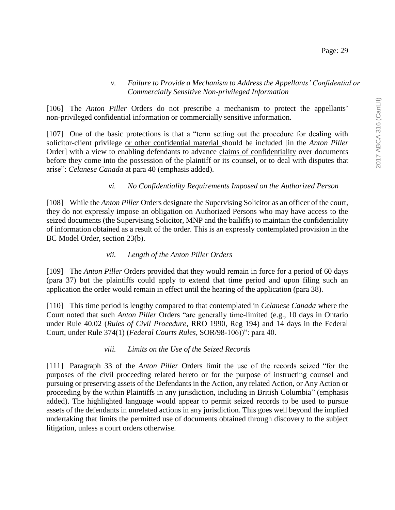#### *v. Failure to Provide a Mechanism to Address the Appellants' Confidential or Commercially Sensitive Non-privileged Information*

[106] The *Anton Piller* Orders do not prescribe a mechanism to protect the appellants' non-privileged confidential information or commercially sensitive information.

[107] One of the basic protections is that a "term setting out the procedure for dealing with solicitor-client privilege or other confidential material should be included [in the *Anton Piller*  Order] with a view to enabling defendants to advance claims of confidentiality over documents before they come into the possession of the plaintiff or its counsel, or to deal with disputes that arise": *Celanese Canada* at para 40 (emphasis added).

## *vi. No Confidentiality Requirements Imposed on the Authorized Person*

[108] While the *Anton Piller* Orders designate the Supervising Solicitor as an officer of the court, they do not expressly impose an obligation on Authorized Persons who may have access to the seized documents (the Supervising Solicitor, MNP and the bailiffs) to maintain the confidentiality of information obtained as a result of the order. This is an expressly contemplated provision in the BC Model Order, section 23(b).

### *vii. Length of the Anton Piller Orders*

[109] The *Anton Piller* Orders provided that they would remain in force for a period of 60 days (para 37) but the plaintiffs could apply to extend that time period and upon filing such an application the order would remain in effect until the hearing of the application (para 38).

[110] This time period is lengthy compared to that contemplated in *Celanese Canada* where the Court noted that such *Anton Piller* Orders "are generally time-limited (e.g., 10 days in Ontario under Rule 40.02 (*Rules of Civil Procedure*, RRO 1990, Reg 194) and 14 days in the Federal Court, under Rule 374(1) (*Federal Courts Rules*, SOR/98-106))": para 40.

### *viii. Limits on the Use of the Seized Records*

[111] Paragraph 33 of the *Anton Piller* Orders limit the use of the records seized "for the purposes of the civil proceeding related hereto or for the purpose of instructing counsel and pursuing or preserving assets of the Defendants in the Action, any related Action, or Any Action or proceeding by the within Plaintiffs in any jurisdiction, including in British Columbia" (emphasis added). The highlighted language would appear to permit seized records to be used to pursue assets of the defendants in unrelated actions in any jurisdiction. This goes well beyond the implied undertaking that limits the permitted use of documents obtained through discovery to the subject litigation, unless a court orders otherwise.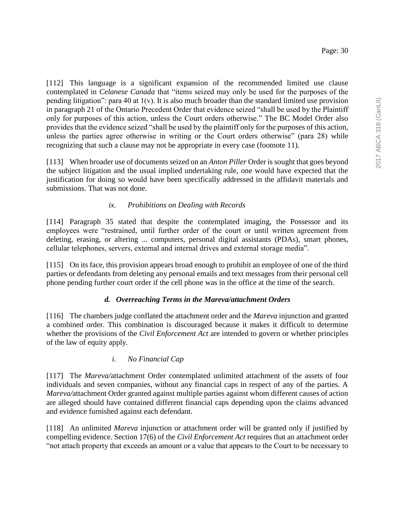[112] This language is a significant expansion of the recommended limited use clause contemplated in *Celanese Canada* that "items seized may only be used for the purposes of the pending litigation": para 40 at  $1(v)$ . It is also much broader than the standard limited use provision in paragraph 21 of the Ontario Precedent Order that evidence seized "shall be used by the Plaintiff only for purposes of this action, unless the Court orders otherwise." The BC Model Order also provides that the evidence seized "shall be used by the plaintiff only for the purposes of this action, unless the parties agree otherwise in writing or the Court orders otherwise" (para 28) while recognizing that such a clause may not be appropriate in every case (footnote 11).

[113] When broader use of documents seized on an *Anton Piller* Order is sought that goes beyond the subject litigation and the usual implied undertaking rule, one would have expected that the justification for doing so would have been specifically addressed in the affidavit materials and submissions. That was not done.

# *ix. Prohibitions on Dealing with Records*

[114] Paragraph 35 stated that despite the contemplated imaging, the Possessor and its employees were "restrained, until further order of the court or until written agreement from deleting, erasing, or altering ... computers, personal digital assistants (PDAs), smart phones, cellular telephones, servers, external and internal drives and external storage media".

[115] On its face, this provision appears broad enough to prohibit an employee of one of the third parties or defendants from deleting any personal emails and text messages from their personal cell phone pending further court order if the cell phone was in the office at the time of the search.

## *d. Overreaching Terms in the Mareva/attachment Orders*

[116] The chambers judge conflated the attachment order and the *Mareva* injunction and granted a combined order. This combination is discouraged because it makes it difficult to determine whether the provisions of the *Civil Enforcement Act* are intended to govern or whether principles of the law of equity apply.

## *i. No Financial Cap*

[117] The *Mareva/*attachment Order contemplated unlimited attachment of the assets of four individuals and seven companies, without any financial caps in respect of any of the parties. A *Mareva/*attachment Order granted against multiple parties against whom different causes of action are alleged should have contained different financial caps depending upon the claims advanced and evidence furnished against each defendant.

[118] An unlimited *Mareva* injunction or attachment order will be granted only if justified by compelling evidence. Section 17(6) of the *Civil Enforcement Act* requires that an attachment order "not attach property that exceeds an amount or a value that appears to the Court to be necessary to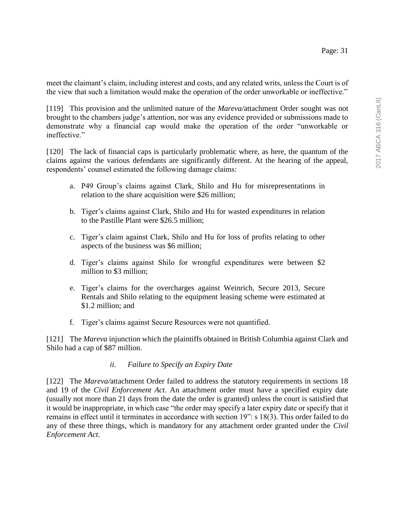meet the claimant's claim, including interest and costs, and any related writs, unless the Court is of the view that such a limitation would make the operation of the order unworkable or ineffective."

[119] This provision and the unlimited nature of the *Mareva/*attachment Order sought was not brought to the chambers judge's attention, nor was any evidence provided or submissions made to demonstrate why a financial cap would make the operation of the order "unworkable or ineffective."

[120] The lack of financial caps is particularly problematic where, as here, the quantum of the claims against the various defendants are significantly different. At the hearing of the appeal, respondents' counsel estimated the following damage claims:

- a. P49 Group's claims against Clark, Shilo and Hu for misrepresentations in relation to the share acquisition were \$26 million;
- b. Tiger's claims against Clark, Shilo and Hu for wasted expenditures in relation to the Pastille Plant were \$26.5 million;
- c. Tiger's claim against Clark, Shilo and Hu for loss of profits relating to other aspects of the business was \$6 million;
- d. Tiger's claims against Shilo for wrongful expenditures were between \$2 million to \$3 million;
- e. Tiger's claims for the overcharges against Weinrich, Secure 2013, Secure Rentals and Shilo relating to the equipment leasing scheme were estimated at \$1.2 million; and
- f. Tiger's claims against Secure Resources were not quantified.

[121] The *Mareva* injunction which the plaintiffs obtained in British Columbia against Clark and Shilo had a cap of \$87 million.

### *ii. Failure to Specify an Expiry Date*

[122] The *Mareva/*attachment Order failed to address the statutory requirements in sections 18 and 19 of the *Civil Enforcement Act*. An attachment order must have a specified expiry date (usually not more than 21 days from the date the order is granted) unless the court is satisfied that it would be inappropriate, in which case "the order may specify a later expiry date or specify that it remains in effect until it terminates in accordance with section 19": s 18(3). This order failed to do any of these three things, which is mandatory for any attachment order granted under the *Civil Enforcement Act*.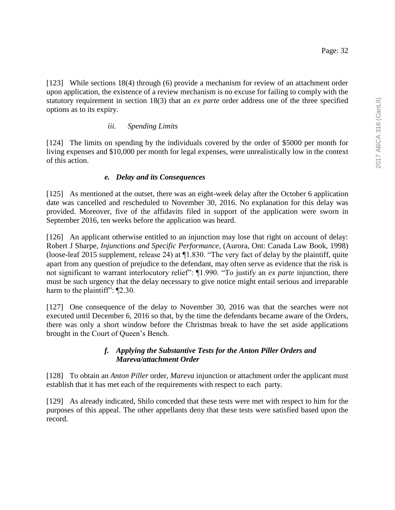[123] While sections 18(4) through (6) provide a mechanism for review of an attachment order upon application, the existence of a review mechanism is no excuse for failing to comply with the statutory requirement in section 18(3) that an *ex parte* order address one of the three specified options as to its expiry.

## *iii. Spending Limits*

[124] The limits on spending by the individuals covered by the order of \$5000 per month for living expenses and \$10,000 per month for legal expenses, were unrealistically low in the context of this action.

# *e. Delay and its Consequences*

[125] As mentioned at the outset, there was an eight-week delay after the October 6 application date was cancelled and rescheduled to November 30, 2016. No explanation for this delay was provided. Moreover, five of the affidavits filed in support of the application were sworn in September 2016, ten weeks before the application was heard.

[126] An applicant otherwise entitled to an injunction may lose that right on account of delay: Robert J Sharpe, *Injunctions and Specific Performance*, (Aurora, Ont: Canada Law Book, 1998) (loose-leaf 2015 supplement, release 24) at ¶1.830. "The very fact of delay by the plaintiff, quite apart from any question of prejudice to the defendant, may often serve as evidence that the risk is not significant to warrant interlocutory relief": ¶1.990. "To justify an *ex parte* injunction, there must be such urgency that the delay necessary to give notice might entail serious and irreparable harm to the plaintiff": ¶2.30.

[127] One consequence of the delay to November 30, 2016 was that the searches were not executed until December 6, 2016 so that, by the time the defendants became aware of the Orders, there was only a short window before the Christmas break to have the set aside applications brought in the Court of Queen's Bench.

## *f. Applying the Substantive Tests for the Anton Piller Orders and Mareva/attachment Order*

[128] To obtain an *Anton Piller* order, *Mareva* injunction or attachment order the applicant must establish that it has met each of the requirements with respect to each party.

[129] As already indicated, Shilo conceded that these tests were met with respect to him for the purposes of this appeal. The other appellants deny that these tests were satisfied based upon the record.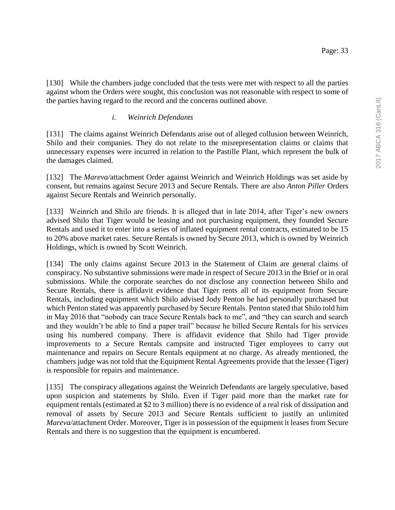[130] While the chambers judge concluded that the tests were met with respect to all the parties against whom the Orders were sought, this conclusion was not reasonable with respect to some of the parties having regard to the record and the concerns outlined above.

#### *i. Weinrich Defendants*

[131] The claims against Weinrich Defendants arise out of alleged collusion between Weinrich, Shilo and their companies. They do not relate to the misrepresentation claims or claims that unnecessary expenses were incurred in relation to the Pastille Plant, which represent the bulk of the damages claimed.

[132] The *Mareva/*attachment Order against Weinrich and Weinrich Holdings was set aside by consent, but remains against Secure 2013 and Secure Rentals. There are also *Anton Piller* Orders against Secure Rentals and Weinrich personally.

[133] Weinrich and Shilo are friends. It is alleged that in late 2014, after Tiger's new owners advised Shilo that Tiger would be leasing and not purchasing equipment, they founded Secure Rentals and used it to enter into a series of inflated equipment rental contracts, estimated to be 15 to 20% above market rates. Secure Rentals is owned by Secure 2013, which is owned by Weinrich Holdings, which is owned by Scott Weinrich.

[134] The only claims against Secure 2013 in the Statement of Claim are general claims of conspiracy. No substantive submissions were made in respect of Secure 2013 in the Brief or in oral submissions. While the corporate searches do not disclose any connection between Shilo and Secure Rentals, there is affidavit evidence that Tiger rents all of its equipment from Secure Rentals, including equipment which Shilo advised Jody Penton he had personally purchased but which Penton stated was apparently purchased by Secure Rentals. Penton stated that Shilo told him in May 2016 that "nobody can trace Secure Rentals back to me", and "they can search and search and they wouldn't be able to find a paper trail" because he billed Secure Rentals for his services using his numbered company. There is affidavit evidence that Shilo had Tiger provide improvements to a Secure Rentals campsite and instructed Tiger employees to carry out maintenance and repairs on Secure Rentals equipment at no charge. As already mentioned, the chambers judge was not told that the Equipment Rental Agreements provide that the lessee (Tiger) is responsible for repairs and maintenance.

[135] The conspiracy allegations against the Weinrich Defendants are largely speculative, based upon suspicion and statements by Shilo. Even if Tiger paid more than the market rate for equipment rentals (estimated at \$2 to 3 million) there is no evidence of a real risk of dissipation and removal of assets by Secure 2013 and Secure Rentals sufficient to justify an unlimited *Mareva/*attachment Order. Moreover, Tiger is in possession of the equipment it leases from Secure Rentals and there is no suggestion that the equipment is encumbered.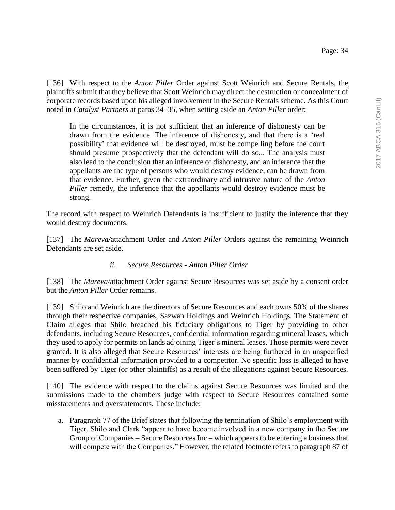[136] With respect to the *Anton Piller* Order against Scott Weinrich and Secure Rentals, the plaintiffs submit that they believe that Scott Weinrich may direct the destruction or concealment of corporate records based upon his alleged involvement in the Secure Rentals scheme. As this Court noted in *Catalyst Partners* at paras 34–35, when setting aside an *Anton Piller* order:

In the circumstances, it is not sufficient that an inference of dishonesty can be drawn from the evidence. The inference of dishonesty, and that there is a 'real possibility' that evidence will be destroyed, must be compelling before the court should presume prospectively that the defendant will do so... The analysis must also lead to the conclusion that an inference of dishonesty, and an inference that the appellants are the type of persons who would destroy evidence, can be drawn from that evidence. Further, given the extraordinary and intrusive nature of the *Anton Piller* remedy, the inference that the appellants would destroy evidence must be strong.

The record with respect to Weinrich Defendants is insufficient to justify the inference that they would destroy documents.

[137] The *Mareva/*attachment Order and *Anton Piller* Orders against the remaining Weinrich Defendants are set aside.

### *ii. Secure Resources - Anton Piller Order*

[138] The *Mareva/*attachment Order against Secure Resources was set aside by a consent order but the *Anton Piller* Order remains.

[139] Shilo and Weinrich are the directors of Secure Resources and each owns 50% of the shares through their respective companies, Sazwan Holdings and Weinrich Holdings. The Statement of Claim alleges that Shilo breached his fiduciary obligations to Tiger by providing to other defendants, including Secure Resources, confidential information regarding mineral leases, which they used to apply for permits on lands adjoining Tiger's mineral leases. Those permits were never granted. It is also alleged that Secure Resources' interests are being furthered in an unspecified manner by confidential information provided to a competitor. No specific loss is alleged to have been suffered by Tiger (or other plaintiffs) as a result of the allegations against Secure Resources.

[140] The evidence with respect to the claims against Secure Resources was limited and the submissions made to the chambers judge with respect to Secure Resources contained some misstatements and overstatements. These include:

a. Paragraph 77 of the Brief states that following the termination of Shilo's employment with Tiger, Shilo and Clark "appear to have become involved in a new company in the Secure Group of Companies – Secure Resources Inc – which appears to be entering a business that will compete with the Companies." However, the related footnote refers to paragraph 87 of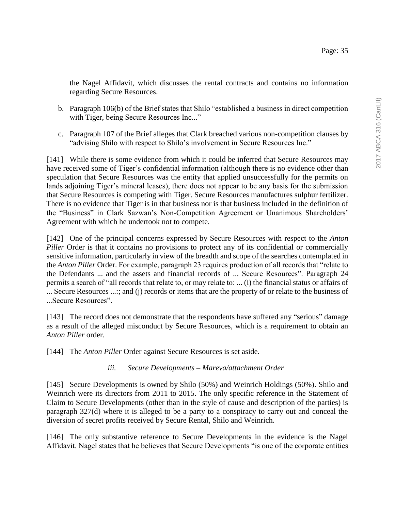the Nagel Affidavit, which discusses the rental contracts and contains no information regarding Secure Resources.

- b. Paragraph 106(b) of the Brief states that Shilo "established a business in direct competition with Tiger, being Secure Resources Inc..."
- c. Paragraph 107 of the Brief alleges that Clark breached various non-competition clauses by "advising Shilo with respect to Shilo's involvement in Secure Resources Inc."

[141] While there is some evidence from which it could be inferred that Secure Resources may have received some of Tiger's confidential information (although there is no evidence other than speculation that Secure Resources was the entity that applied unsuccessfully for the permits on lands adjoining Tiger's mineral leases), there does not appear to be any basis for the submission that Secure Resources is competing with Tiger. Secure Resources manufactures sulphur fertilizer. There is no evidence that Tiger is in that business nor is that business included in the definition of the "Business" in Clark Sazwan's Non-Competition Agreement or Unanimous Shareholders' Agreement with which he undertook not to compete.

[142] One of the principal concerns expressed by Secure Resources with respect to the *Anton Piller* Order is that it contains no provisions to protect any of its confidential or commercially sensitive information, particularly in view of the breadth and scope of the searches contemplated in the *Anton Piller* Order. For example, paragraph 23 requires production of all records that "relate to the Defendants ... and the assets and financial records of ... Secure Resources". Paragraph 24 permits a search of "all records that relate to, or may relate to: ... (i) the financial status or affairs of ... Secure Resources ...:; and (j) records or items that are the property of or relate to the business of ...Secure Resources".

[143] The record does not demonstrate that the respondents have suffered any "serious" damage as a result of the alleged misconduct by Secure Resources, which is a requirement to obtain an *Anton Piller* order.

[144] The *Anton Piller* Order against Secure Resources is set aside.

## *iii. Secure Developments – Mareva/attachment Order*

[145] Secure Developments is owned by Shilo (50%) and Weinrich Holdings (50%). Shilo and Weinrich were its directors from 2011 to 2015. The only specific reference in the Statement of Claim to Secure Developments (other than in the style of cause and description of the parties) is paragraph 327(d) where it is alleged to be a party to a conspiracy to carry out and conceal the diversion of secret profits received by Secure Rental, Shilo and Weinrich.

[146] The only substantive reference to Secure Developments in the evidence is the Nagel Affidavit. Nagel states that he believes that Secure Developments "is one of the corporate entities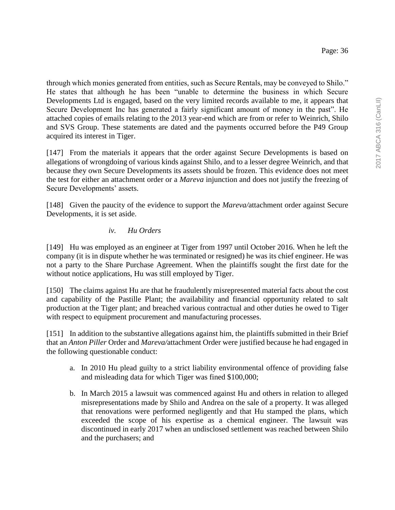through which monies generated from entities, such as Secure Rentals, may be conveyed to Shilo." He states that although he has been "unable to determine the business in which Secure Developments Ltd is engaged, based on the very limited records available to me, it appears that Secure Development Inc has generated a fairly significant amount of money in the past". He attached copies of emails relating to the 2013 year-end which are from or refer to Weinrich, Shilo and SVS Group. These statements are dated and the payments occurred before the P49 Group acquired its interest in Tiger.

[147] From the materials it appears that the order against Secure Developments is based on allegations of wrongdoing of various kinds against Shilo, and to a lesser degree Weinrich, and that because they own Secure Developments its assets should be frozen. This evidence does not meet the test for either an attachment order or a *Mareva* injunction and does not justify the freezing of Secure Developments' assets.

[148] Given the paucity of the evidence to support the *Mareva/*attachment order against Secure Developments, it is set aside.

## *iv. Hu Orders*

[149] Hu was employed as an engineer at Tiger from 1997 until October 2016. When he left the company (it is in dispute whether he was terminated or resigned) he was its chief engineer. He was not a party to the Share Purchase Agreement. When the plaintiffs sought the first date for the without notice applications, Hu was still employed by Tiger.

[150] The claims against Hu are that he fraudulently misrepresented material facts about the cost and capability of the Pastille Plant; the availability and financial opportunity related to salt production at the Tiger plant; and breached various contractual and other duties he owed to Tiger with respect to equipment procurement and manufacturing processes.

[151] In addition to the substantive allegations against him, the plaintiffs submitted in their Brief that an *Anton Piller* Order and *Mareva/*attachment Order were justified because he had engaged in the following questionable conduct:

- a. In 2010 Hu plead guilty to a strict liability environmental offence of providing false and misleading data for which Tiger was fined \$100,000;
- b. In March 2015 a lawsuit was commenced against Hu and others in relation to alleged misrepresentations made by Shilo and Andrea on the sale of a property. It was alleged that renovations were performed negligently and that Hu stamped the plans, which exceeded the scope of his expertise as a chemical engineer. The lawsuit was discontinued in early 2017 when an undisclosed settlement was reached between Shilo and the purchasers; and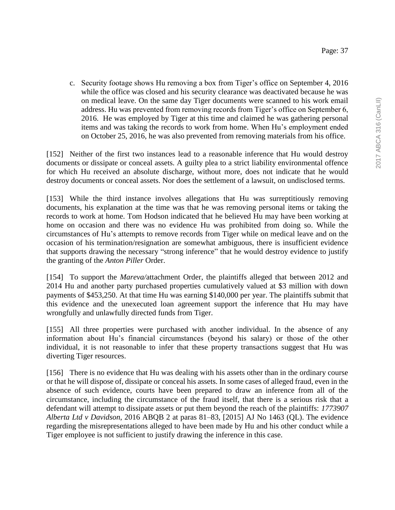c. Security footage shows Hu removing a box from Tiger's office on September 4, 2016 while the office was closed and his security clearance was deactivated because he was on medical leave. On the same day Tiger documents were scanned to his work email address. Hu was prevented from removing records from Tiger's office on September 6, 2016. He was employed by Tiger at this time and claimed he was gathering personal items and was taking the records to work from home. When Hu's employment ended on October 25, 2016, he was also prevented from removing materials from his office.

[152] Neither of the first two instances lead to a reasonable inference that Hu would destroy documents or dissipate or conceal assets. A guilty plea to a strict liability environmental offence for which Hu received an absolute discharge, without more, does not indicate that he would destroy documents or conceal assets. Nor does the settlement of a lawsuit, on undisclosed terms.

[153] While the third instance involves allegations that Hu was surreptitiously removing documents, his explanation at the time was that he was removing personal items or taking the records to work at home. Tom Hodson indicated that he believed Hu may have been working at home on occasion and there was no evidence Hu was prohibited from doing so. While the circumstances of Hu's attempts to remove records from Tiger while on medical leave and on the occasion of his termination/resignation are somewhat ambiguous, there is insufficient evidence that supports drawing the necessary "strong inference" that he would destroy evidence to justify the granting of the *Anton Piller* Order.

[154] To support the *Mareva/*attachment Order, the plaintiffs alleged that between 2012 and 2014 Hu and another party purchased properties cumulatively valued at \$3 million with down payments of \$453,250. At that time Hu was earning \$140,000 per year. The plaintiffs submit that this evidence and the unexecuted loan agreement support the inference that Hu may have wrongfully and unlawfully directed funds from Tiger.

[155] All three properties were purchased with another individual. In the absence of any information about Hu's financial circumstances (beyond his salary) or those of the other individual, it is not reasonable to infer that these property transactions suggest that Hu was diverting Tiger resources.

[156] There is no evidence that Hu was dealing with his assets other than in the ordinary course or that he will dispose of, dissipate or conceal his assets. In some cases of alleged fraud, even in the absence of such evidence, courts have been prepared to draw an inference from all of the circumstance, including the circumstance of the fraud itself, that there is a serious risk that a defendant will attempt to dissipate assets or put them beyond the reach of the plaintiffs: *1773907 Alberta Ltd v Davidson*, 2016 ABQB 2 at paras 81–83, [2015] AJ No 1463 (QL). The evidence regarding the misrepresentations alleged to have been made by Hu and his other conduct while a Tiger employee is not sufficient to justify drawing the inference in this case.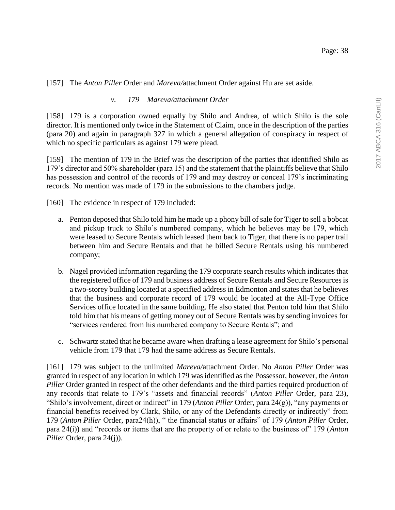[157] The *Anton Piller* Order and *Mareva/*attachment Order against Hu are set aside.

#### *v. 179 – Mareva/attachment Order*

[158] 179 is a corporation owned equally by Shilo and Andrea, of which Shilo is the sole director. It is mentioned only twice in the Statement of Claim, once in the description of the parties (para 20) and again in paragraph 327 in which a general allegation of conspiracy in respect of which no specific particulars as against 179 were plead.

[159] The mention of 179 in the Brief was the description of the parties that identified Shilo as 179's director and 50% shareholder (para 15) and the statement that the plaintiffs believe that Shilo has possession and control of the records of 179 and may destroy or conceal 179's incriminating records. No mention was made of 179 in the submissions to the chambers judge.

[160] The evidence in respect of 179 included:

- a. Penton deposed that Shilo told him he made up a phony bill of sale for Tiger to sell a bobcat and pickup truck to Shilo's numbered company, which he believes may be 179, which were leased to Secure Rentals which leased them back to Tiger, that there is no paper trail between him and Secure Rentals and that he billed Secure Rentals using his numbered company;
- b. Nagel provided information regarding the 179 corporate search results which indicates that the registered office of 179 and business address of Secure Rentals and Secure Resources is a two-storey building located at a specified address in Edmonton and states that he believes that the business and corporate record of 179 would be located at the All-Type Office Services office located in the same building. He also stated that Penton told him that Shilo told him that his means of getting money out of Secure Rentals was by sending invoices for "services rendered from his numbered company to Secure Rentals"; and
- c. Schwartz stated that he became aware when drafting a lease agreement for Shilo's personal vehicle from 179 that 179 had the same address as Secure Rentals.

[161] 179 was subject to the unlimited *Mareva/*attachment Order. No *Anton Piller* Order was granted in respect of any location in which 179 was identified as the Possessor, however, the *Anton Piller* Order granted in respect of the other defendants and the third parties required production of any records that relate to 179's "assets and financial records" (*Anton Piller* Order, para 23), "Shilo's involvement, direct or indirect" in 179 (*Anton Piller* Order, para 24(g)), "any payments or financial benefits received by Clark, Shilo, or any of the Defendants directly or indirectly" from 179 (*Anton Piller* Order, para24(h)), " the financial status or affairs" of 179 (*Anton Piller* Order, para 24(i)) and "records or items that are the property of or relate to the business of" 179 (*Anton Piller* Order, para 24(j)).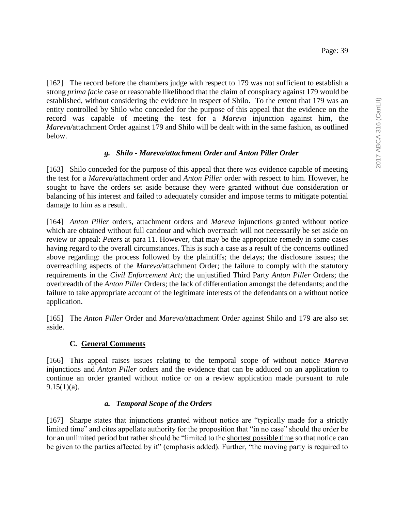[162] The record before the chambers judge with respect to 179 was not sufficient to establish a strong *prima facie* case or reasonable likelihood that the claim of conspiracy against 179 would be established, without considering the evidence in respect of Shilo. To the extent that 179 was an entity controlled by Shilo who conceded for the purpose of this appeal that the evidence on the record was capable of meeting the test for a *Mareva* injunction against him, the *Mareva/*attachment Order against 179 and Shilo will be dealt with in the same fashion, as outlined below.

## *g. Shilo - Mareva/attachment Order and Anton Piller Order*

[163] Shilo conceded for the purpose of this appeal that there was evidence capable of meeting the test for a *Mareva*/attachment order and *Anton Piller* order with respect to him. However, he sought to have the orders set aside because they were granted without due consideration or balancing of his interest and failed to adequately consider and impose terms to mitigate potential damage to him as a result.

[164] *Anton Piller* orders, attachment orders and *Mareva* injunctions granted without notice which are obtained without full candour and which overreach will not necessarily be set aside on review or appeal: *Peters* at para 11. However, that may be the appropriate remedy in some cases having regard to the overall circumstances. This is such a case as a result of the concerns outlined above regarding: the process followed by the plaintiffs; the delays; the disclosure issues; the overreaching aspects of the *Mareva/*attachment Order; the failure to comply with the statutory requirements in the *Civil Enforcement Act*; the unjustified Third Party *Anton Piller* Orders; the overbreadth of the *Anton Piller* Orders; the lack of differentiation amongst the defendants; and the failure to take appropriate account of the legitimate interests of the defendants on a without notice application.

[165] The *Anton Piller* Order and *Mareva/*attachment Order against Shilo and 179 are also set aside.

## **C. General Comments**

[166] This appeal raises issues relating to the temporal scope of without notice *Mareva* injunctions and *Anton Piller* orders and the evidence that can be adduced on an application to continue an order granted without notice or on a review application made pursuant to rule  $9.15(1)(a)$ .

## *a. Temporal Scope of the Orders*

[167] Sharpe states that injunctions granted without notice are "typically made for a strictly limited time" and cites appellate authority for the proposition that "in no case" should the order be for an unlimited period but rather should be "limited to the shortest possible time so that notice can be given to the parties affected by it" (emphasis added). Further, "the moving party is required to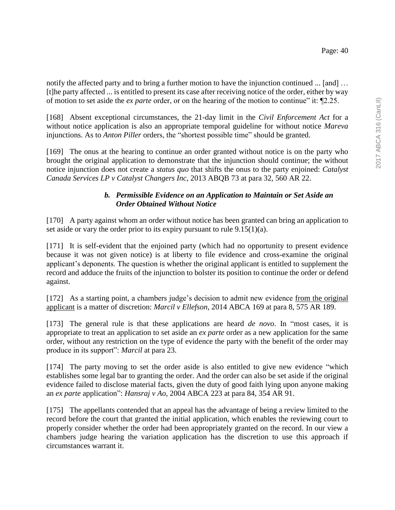notify the affected party and to bring a further motion to have the injunction continued ... [and] ... [t]he party affected ... is entitled to present its case after receiving notice of the order, either by way of motion to set aside the *ex parte* order, or on the hearing of the motion to continue" it: ¶2.25.

[168] Absent exceptional circumstances, the 21-day limit in the *Civil Enforcement Act* for a without notice application is also an appropriate temporal guideline for without notice *Mareva* injunctions. As to *Anton Piller* orders, the "shortest possible time" should be granted.

[169] The onus at the hearing to continue an order granted without notice is on the party who brought the original application to demonstrate that the injunction should continue; the without notice injunction does not create a *status quo* that shifts the onus to the party enjoined: *Catalyst Canada Services LP v Catalyst Changers Inc,* 2013 ABQB 73 at para 32, 560 AR 22.

# *b. Permissible Evidence on an Application to Maintain or Set Aside an Order Obtained Without Notice*

[170] A party against whom an order without notice has been granted can bring an application to set aside or vary the order prior to its expiry pursuant to rule 9.15(1)(a).

[171] It is self-evident that the enjoined party (which had no opportunity to present evidence because it was not given notice) is at liberty to file evidence and cross-examine the original applicant's deponents. The question is whether the original applicant is entitled to supplement the record and adduce the fruits of the injunction to bolster its position to continue the order or defend against.

[172] As a starting point, a chambers judge's decision to admit new evidence from the original applicant is a matter of discretion: *Marcil v Ellefson*, 2014 ABCA 169 at para 8, 575 AR 189.

[173] The general rule is that these applications are heard *de novo*. In "most cases, it is appropriate to treat an application to set aside an *ex parte* order as a new application for the same order, without any restriction on the type of evidence the party with the benefit of the order may produce in its support": *Marcil* at para 23.

[174] The party moving to set the order aside is also entitled to give new evidence "which establishes some legal bar to granting the order. And the order can also be set aside if the original evidence failed to disclose material facts, given the duty of good faith lying upon anyone making an *ex parte* application": *Hansraj v Ao*, 2004 ABCA 223 at para 84, 354 AR 91.

[175] The appellants contended that an appeal has the advantage of being a review limited to the record before the court that granted the initial application, which enables the reviewing court to properly consider whether the order had been appropriately granted on the record. In our view a chambers judge hearing the variation application has the discretion to use this approach if circumstances warrant it.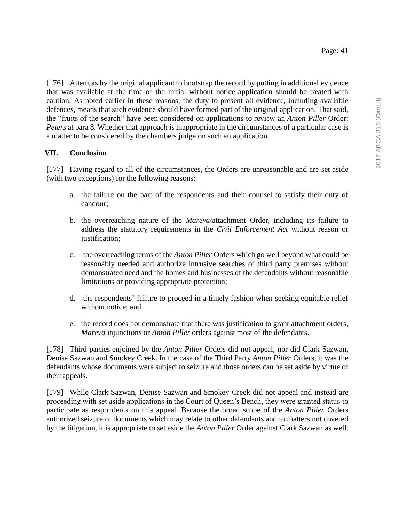[176] Attempts by the original applicant to bootstrap the record by putting in additional evidence that was available at the time of the initial without notice application should be treated with caution. As noted earlier in these reasons, the duty to present all evidence, including available defences, means that such evidence should have formed part of the original application. That said, the "fruits of the search" have been considered on applications to review an *Anton Piller* Order: *Peters* at para 8. Whether that approach is inappropriate in the circumstances of a particular case is a matter to be considered by the chambers judge on such an application.

### **VII. Conclusion**

[177] Having regard to all of the circumstances, the Orders are unreasonable and are set aside (with two exceptions) for the following reasons:

- a. the failure on the part of the respondents and their counsel to satisfy their duty of candour;
- b. the overreaching nature of the *Mareva/*attachment Order, including its failure to address the statutory requirements in the *Civil Enforcement Act* without reason or justification;
- c. the overreaching terms of the *Anton Piller* Orders which go well beyond what could be reasonably needed and authorize intrusive searches of third party premises without demonstrated need and the homes and businesses of the defendants without reasonable limitations or providing appropriate protection;
- d. the respondents' failure to proceed in a timely fashion when seeking equitable relief without notice; and
- e. the record does not demonstrate that there was justification to grant attachment orders, *Mareva* injunctions or *Anton Piller* orders against most of the defendants.

[178] Third parties enjoined by the *Anton Piller* Orders did not appeal, nor did Clark Sazwan, Denise Sazwan and Smokey Creek. In the case of the Third Party *Anton Piller* Orders, it was the defendants whose documents were subject to seizure and those orders can be set aside by virtue of their appeals.

[179] While Clark Sazwan, Denise Sazwan and Smokey Creek did not appeal and instead are proceeding with set aside applications in the Court of Queen's Bench, they were granted status to participate as respondents on this appeal. Because the broad scope of the *Anton Piller* Orders authorized seizure of documents which may relate to other defendants and to matters not covered by the litigation, it is appropriate to set aside the *Anton Piller* Order against Clark Sazwan as well.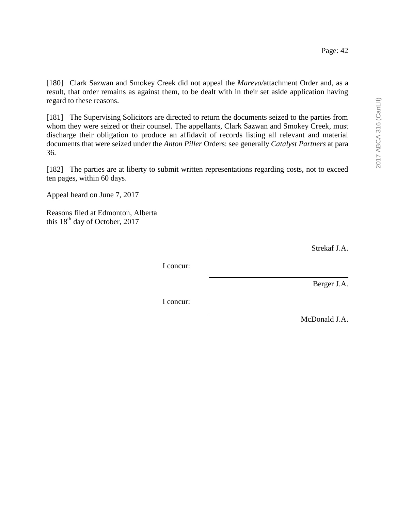[180] Clark Sazwan and Smokey Creek did not appeal the *Mareva/*attachment Order and, as a result, that order remains as against them, to be dealt with in their set aside application having regard to these reasons.

[181] The Supervising Solicitors are directed to return the documents seized to the parties from whom they were seized or their counsel. The appellants, Clark Sazwan and Smokey Creek, must discharge their obligation to produce an affidavit of records listing all relevant and material documents that were seized under the *Anton Piller* Orders: see generally *Catalyst Partners* at para 36.

[182] The parties are at liberty to submit written representations regarding costs, not to exceed ten pages, within 60 days.

Appeal heard on June 7, 2017

Reasons filed at Edmonton, Alberta this  $18<sup>th</sup>$  day of October, 2017

Strekaf J.A.

I concur:

Berger J.A.

I concur:

McDonald J.A.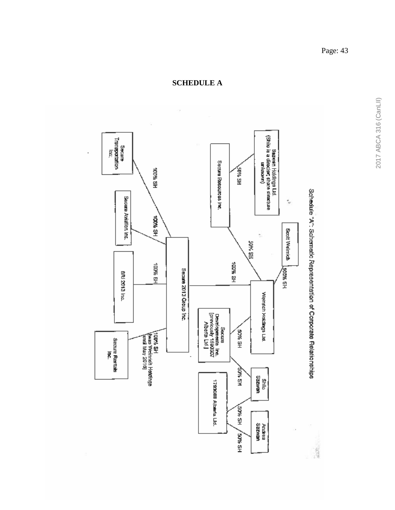

Page: 43